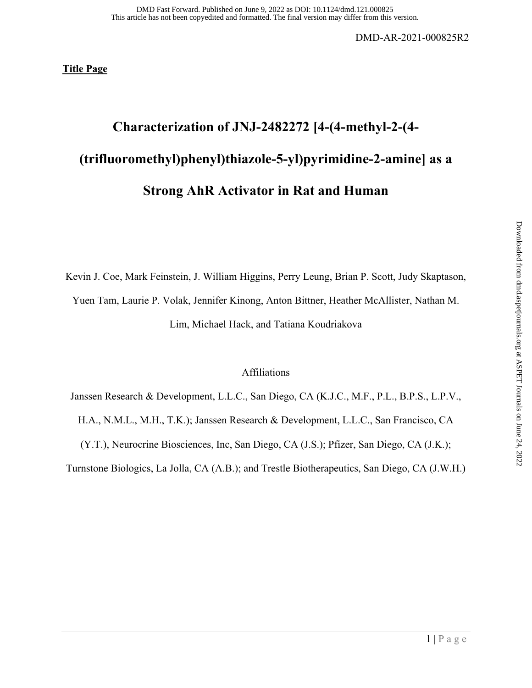**Title Page** 

# **Characterization of JNJ-2482272 [4-(4-methyl-2-(4- (trifluoromethyl)phenyl)thiazole-5-yl)pyrimidine-2-amine] as a Strong AhR Activator in Rat and Human**

Kevin J. Coe, Mark Feinstein, J. William Higgins, Perry Leung, Brian P. Scott, Judy Skaptason,

Yuen Tam, Laurie P. Volak, Jennifer Kinong, Anton Bittner, Heather McAllister, Nathan M.

Lim, Michael Hack, and Tatiana Koudriakova

## Affiliations

Janssen Research & Development, L.L.C., San Diego, CA (K.J.C., M.F., P.L., B.P.S., L.P.V., H.A., N.M.L., M.H., T.K.); Janssen Research & Development, L.L.C., San Francisco, CA (Y.T.), Neurocrine Biosciences, Inc, San Diego, CA (J.S.); Pfizer, San Diego, CA (J.K.); Turnstone Biologics, La Jolla, CA (A.B.); and Trestle Biotherapeutics, San Diego, CA (J.W.H.)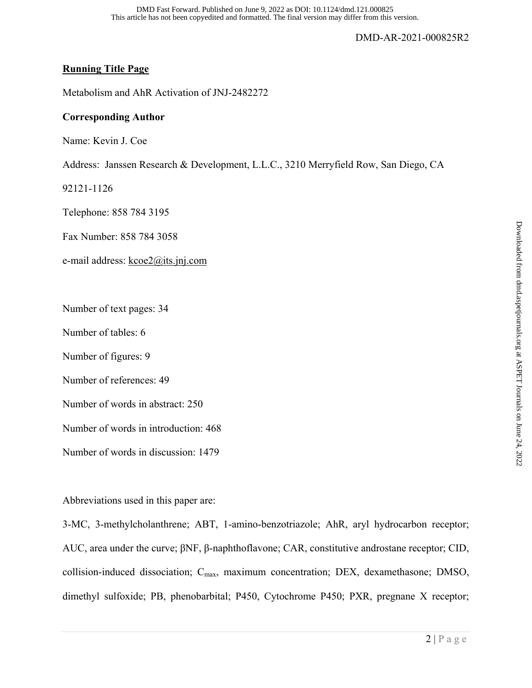## **Running Title Page**

Metabolism and AhR Activation of JNJ-2482272

## **Corresponding Author**

Name: Kevin J. Coe

Address: Janssen Research & Development, L.L.C., 3210 Merryfield Row, San Diego, CA

92121-1126

Telephone: 858 784 3195

Fax Number: 858 784 3058

e-mail address: kcoe2@its.jnj.com

Number of text pages: 34

Number of tables: 6

Number of figures: 9

Number of references: 49

Number of words in abstract: 250

Number of words in introduction: 468

Number of words in discussion: 1479

Abbreviations used in this paper are:

3-MC, 3-methylcholanthrene; ABT, 1-amino-benzotriazole; AhR, aryl hydrocarbon receptor; AUC, area under the curve; βNF, β-naphthoflavone; CAR, constitutive androstane receptor; CID, collision-induced dissociation; C<sub>max</sub>, maximum concentration; DEX, dexamethasone; DMSO, dimethyl sulfoxide; PB, phenobarbital; P450, Cytochrome P450; PXR, pregnane X receptor;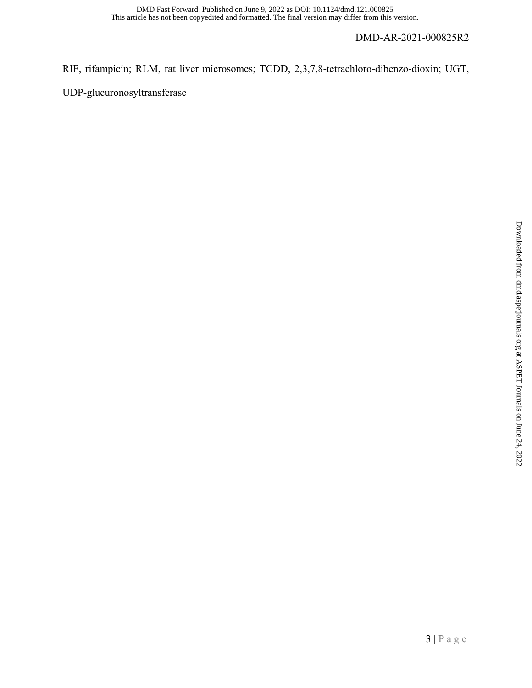## RIF, rifampicin; RLM, rat liver microsomes; TCDD, 2,3,7,8-tetrachloro-dibenzo-dioxin; UGT,

UDP-glucuronosyltransferase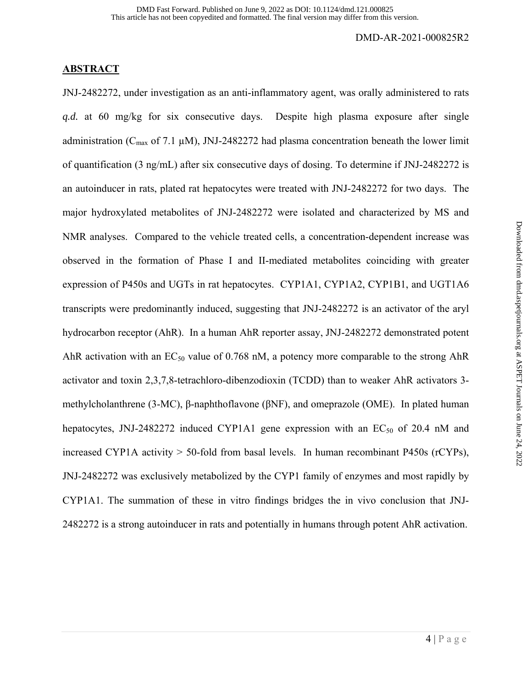## **ABSTRACT**

JNJ-2482272, under investigation as an anti-inflammatory agent, was orally administered to rats *q.d.* at 60 mg/kg for six consecutive days. Despite high plasma exposure after single administration ( $C_{\text{max}}$  of 7.1 µM), JNJ-2482272 had plasma concentration beneath the lower limit of quantification (3 ng/mL) after six consecutive days of dosing. To determine if JNJ-2482272 is an autoinducer in rats, plated rat hepatocytes were treated with JNJ-2482272 for two days. The major hydroxylated metabolites of JNJ-2482272 were isolated and characterized by MS and NMR analyses. Compared to the vehicle treated cells, a concentration-dependent increase was observed in the formation of Phase I and II-mediated metabolites coinciding with greater expression of P450s and UGTs in rat hepatocytes. CYP1A1, CYP1A2, CYP1B1, and UGT1A6 transcripts were predominantly induced, suggesting that JNJ-2482272 is an activator of the aryl hydrocarbon receptor (AhR). In a human AhR reporter assay, JNJ-2482272 demonstrated potent AhR activation with an  $EC_{50}$  value of 0.768 nM, a potency more comparable to the strong AhR activator and toxin 2,3,7,8-tetrachloro-dibenzodioxin (TCDD) than to weaker AhR activators 3 methylcholanthrene (3-MC), β-naphthoflavone (βNF), and omeprazole (OME). In plated human hepatocytes, JNJ-2482272 induced CYP1A1 gene expression with an  $EC_{50}$  of 20.4 nM and increased CYP1A activity > 50-fold from basal levels. In human recombinant P450s (rCYPs), JNJ-2482272 was exclusively metabolized by the CYP1 family of enzymes and most rapidly by CYP1A1. The summation of these in vitro findings bridges the in vivo conclusion that JNJ-2482272 is a strong autoinducer in rats and potentially in humans through potent AhR activation.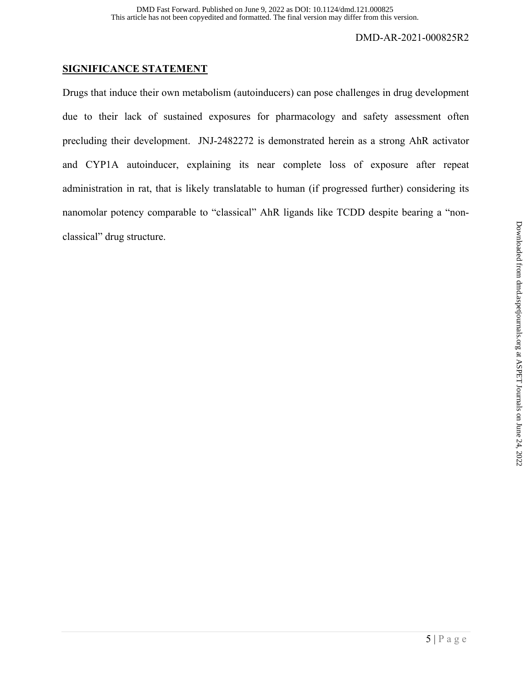## **SIGNIFICANCE STATEMENT**

Drugs that induce their own metabolism (autoinducers) can pose challenges in drug development due to their lack of sustained exposures for pharmacology and safety assessment often precluding their development. JNJ-2482272 is demonstrated herein as a strong AhR activator and CYP1A autoinducer, explaining its near complete loss of exposure after repeat administration in rat, that is likely translatable to human (if progressed further) considering its nanomolar potency comparable to "classical" AhR ligands like TCDD despite bearing a "nonclassical" drug structure.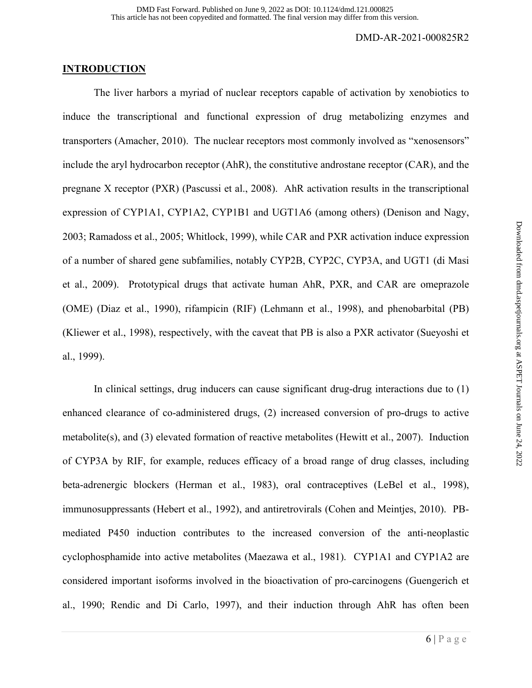## **INTRODUCTION**

 The liver harbors a myriad of nuclear receptors capable of activation by xenobiotics to induce the transcriptional and functional expression of drug metabolizing enzymes and transporters (Amacher, 2010). The nuclear receptors most commonly involved as "xenosensors" include the aryl hydrocarbon receptor (AhR), the constitutive androstane receptor (CAR), and the pregnane X receptor (PXR) (Pascussi et al., 2008). AhR activation results in the transcriptional expression of CYP1A1, CYP1A2, CYP1B1 and UGT1A6 (among others) (Denison and Nagy, 2003; Ramadoss et al., 2005; Whitlock, 1999), while CAR and PXR activation induce expression of a number of shared gene subfamilies, notably CYP2B, CYP2C, CYP3A, and UGT1 (di Masi et al., 2009). Prototypical drugs that activate human AhR, PXR, and CAR are omeprazole (OME) (Diaz et al., 1990), rifampicin (RIF) (Lehmann et al., 1998), and phenobarbital (PB) (Kliewer et al., 1998), respectively, with the caveat that PB is also a PXR activator (Sueyoshi et al., 1999).

 In clinical settings, drug inducers can cause significant drug-drug interactions due to (1) enhanced clearance of co-administered drugs, (2) increased conversion of pro-drugs to active metabolite(s), and (3) elevated formation of reactive metabolites (Hewitt et al., 2007). Induction of CYP3A by RIF, for example, reduces efficacy of a broad range of drug classes, including beta-adrenergic blockers (Herman et al., 1983), oral contraceptives (LeBel et al., 1998), immunosuppressants (Hebert et al., 1992), and antiretrovirals (Cohen and Meintjes, 2010). PBmediated P450 induction contributes to the increased conversion of the anti-neoplastic cyclophosphamide into active metabolites (Maezawa et al., 1981). CYP1A1 and CYP1A2 are considered important isoforms involved in the bioactivation of pro-carcinogens (Guengerich et al., 1990; Rendic and Di Carlo, 1997), and their induction through AhR has often been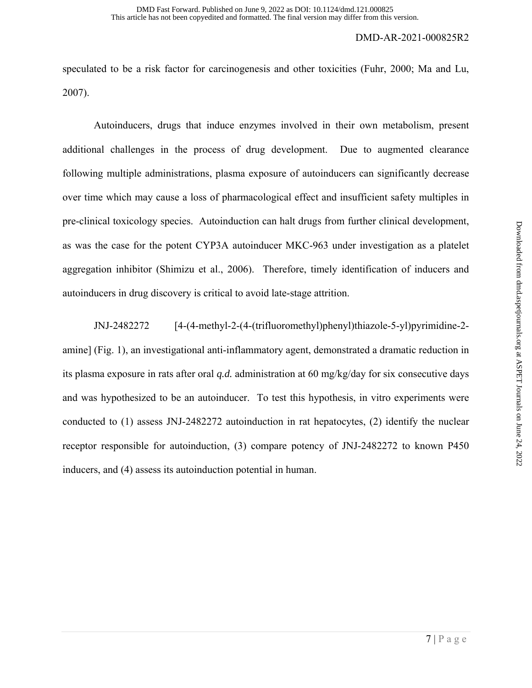speculated to be a risk factor for carcinogenesis and other toxicities (Fuhr, 2000; Ma and Lu, 2007).

 Autoinducers, drugs that induce enzymes involved in their own metabolism, present additional challenges in the process of drug development. Due to augmented clearance following multiple administrations, plasma exposure of autoinducers can significantly decrease over time which may cause a loss of pharmacological effect and insufficient safety multiples in pre-clinical toxicology species. Autoinduction can halt drugs from further clinical development, as was the case for the potent CYP3A autoinducer MKC-963 under investigation as a platelet aggregation inhibitor (Shimizu et al., 2006). Therefore, timely identification of inducers and autoinducers in drug discovery is critical to avoid late-stage attrition.

 JNJ-2482272 [4-(4-methyl-2-(4-(trifluoromethyl)phenyl)thiazole-5-yl)pyrimidine-2 amine] (Fig. 1), an investigational anti-inflammatory agent, demonstrated a dramatic reduction in its plasma exposure in rats after oral *q.d.* administration at 60 mg/kg/day for six consecutive days and was hypothesized to be an autoinducer. To test this hypothesis, in vitro experiments were conducted to (1) assess JNJ-2482272 autoinduction in rat hepatocytes, (2) identify the nuclear receptor responsible for autoinduction, (3) compare potency of JNJ-2482272 to known P450 inducers, and (4) assess its autoinduction potential in human.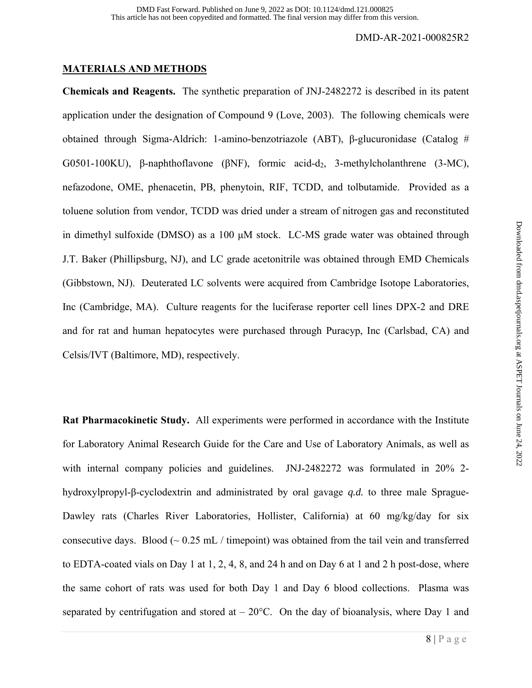## **MATERIALS AND METHODS**

**Chemicals and Reagents.** The synthetic preparation of JNJ-2482272 is described in its patent application under the designation of Compound 9 (Love, 2003). The following chemicals were obtained through Sigma-Aldrich: 1-amino-benzotriazole (ABT), β-glucuronidase (Catalog # G0501-100KU), β-naphthoflavone ( $\beta$ NF), formic acid-d<sub>2</sub>, 3-methylcholanthrene (3-MC), nefazodone, OME, phenacetin, PB, phenytoin, RIF, TCDD, and tolbutamide. Provided as a toluene solution from vendor, TCDD was dried under a stream of nitrogen gas and reconstituted in dimethyl sulfoxide (DMSO) as a 100 μM stock. LC-MS grade water was obtained through J.T. Baker (Phillipsburg, NJ), and LC grade acetonitrile was obtained through EMD Chemicals (Gibbstown, NJ). Deuterated LC solvents were acquired from Cambridge Isotope Laboratories, Inc (Cambridge, MA). Culture reagents for the luciferase reporter cell lines DPX-2 and DRE and for rat and human hepatocytes were purchased through Puracyp, Inc (Carlsbad, CA) and Celsis/IVT (Baltimore, MD), respectively.

**Rat Pharmacokinetic Study.** All experiments were performed in accordance with the Institute for Laboratory Animal Research Guide for the Care and Use of Laboratory Animals, as well as with internal company policies and guidelines. JNJ-2482272 was formulated in 20% 2 hydroxylpropyl-β-cyclodextrin and administrated by oral gavage *q.d.* to three male Sprague-Dawley rats (Charles River Laboratories, Hollister, California) at 60 mg/kg/day for six consecutive days. Blood  $\sim 0.25$  mL / timepoint) was obtained from the tail vein and transferred to EDTA-coated vials on Day 1 at 1, 2, 4, 8, and 24 h and on Day 6 at 1 and 2 h post-dose, where the same cohort of rats was used for both Day 1 and Day 6 blood collections. Plasma was separated by centrifugation and stored at  $-20^{\circ}$ C. On the day of bioanalysis, where Day 1 and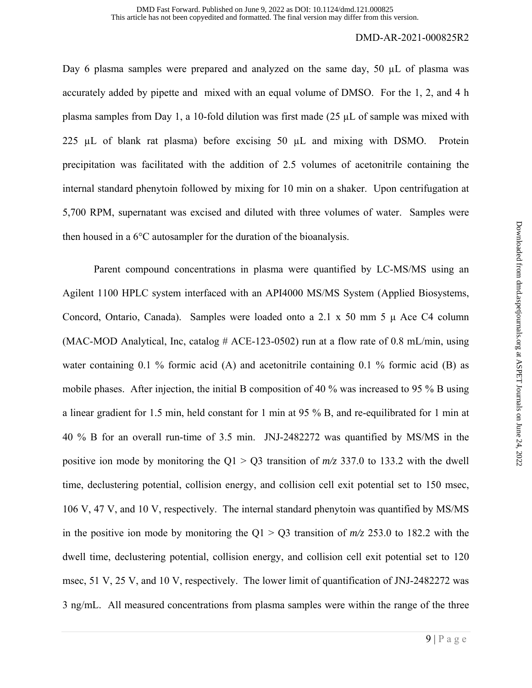Day 6 plasma samples were prepared and analyzed on the same day,  $50 \mu L$  of plasma was accurately added by pipette and mixed with an equal volume of DMSO. For the 1, 2, and 4 h plasma samples from Day 1, a 10-fold dilution was first made (25 µL of sample was mixed with 225  $\mu$ L of blank rat plasma) before excising 50  $\mu$ L and mixing with DSMO. Protein precipitation was facilitated with the addition of 2.5 volumes of acetonitrile containing the internal standard phenytoin followed by mixing for 10 min on a shaker. Upon centrifugation at 5,700 RPM, supernatant was excised and diluted with three volumes of water. Samples were then housed in a 6°C autosampler for the duration of the bioanalysis.

 Parent compound concentrations in plasma were quantified by LC-MS/MS using an Agilent 1100 HPLC system interfaced with an API4000 MS/MS System (Applied Biosystems, Concord, Ontario, Canada). Samples were loaded onto a 2.1 x 50 mm 5 μ Ace C4 column (MAC-MOD Analytical, Inc, catalog  $#$  ACE-123-0502) run at a flow rate of 0.8 mL/min, using water containing 0.1 % formic acid (A) and acetonitrile containing 0.1 % formic acid (B) as mobile phases. After injection, the initial B composition of 40 % was increased to 95 % B using a linear gradient for 1.5 min, held constant for 1 min at 95 % B, and re-equilibrated for 1 min at 40 % B for an overall run-time of 3.5 min. JNJ-2482272 was quantified by MS/MS in the positive ion mode by monitoring the  $Q1 > Q3$  transition of  $m/z$  337.0 to 133.2 with the dwell time, declustering potential, collision energy, and collision cell exit potential set to 150 msec, 106 V, 47 V, and 10 V, respectively. The internal standard phenytoin was quantified by MS/MS in the positive ion mode by monitoring the  $Q1 > Q3$  transition of  $m/z$  253.0 to 182.2 with the dwell time, declustering potential, collision energy, and collision cell exit potential set to 120 msec, 51 V, 25 V, and 10 V, respectively. The lower limit of quantification of JNJ-2482272 was 3 ng/mL. All measured concentrations from plasma samples were within the range of the three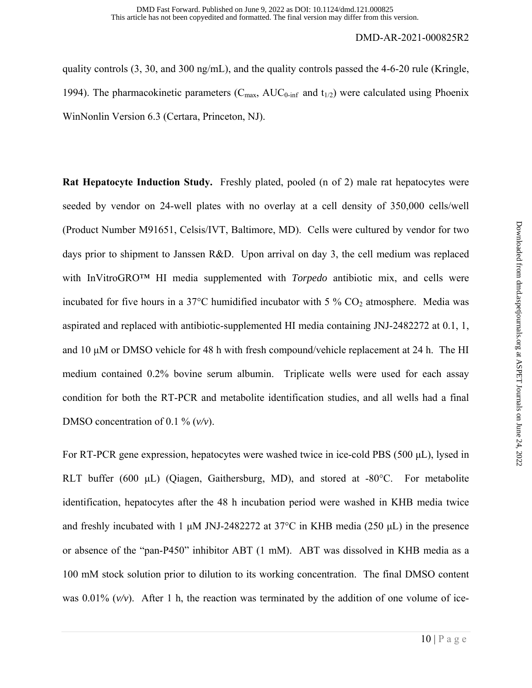quality controls (3, 30, and 300 ng/mL), and the quality controls passed the 4-6-20 rule (Kringle, 1994). The pharmacokinetic parameters ( $C_{\text{max}}$ , AU $C_{0\text{-inf}}$  and  $t_{1/2}$ ) were calculated using Phoenix WinNonlin Version 6.3 (Certara, Princeton, NJ).

**Rat Hepatocyte Induction Study.** Freshly plated, pooled (n of 2) male rat hepatocytes were seeded by vendor on 24-well plates with no overlay at a cell density of 350,000 cells/well (Product Number M91651, Celsis/IVT, Baltimore, MD). Cells were cultured by vendor for two days prior to shipment to Janssen R&D. Upon arrival on day 3, the cell medium was replaced with InVitroGRO™ HI media supplemented with *Torpedo* antibiotic mix, and cells were incubated for five hours in a 37 $\degree$ C humidified incubator with 5 % CO<sub>2</sub> atmosphere. Media was aspirated and replaced with antibiotic-supplemented HI media containing JNJ-2482272 at 0.1, 1, and 10 μM or DMSO vehicle for 48 h with fresh compound/vehicle replacement at 24 h. The HI medium contained 0.2% bovine serum albumin. Triplicate wells were used for each assay condition for both the RT-PCR and metabolite identification studies, and all wells had a final DMSO concentration of 0.1 % (*v/v*).

For RT-PCR gene expression, hepatocytes were washed twice in ice-cold PBS (500 μL), lysed in RLT buffer (600 μL) (Oiagen, Gaithersburg, MD), and stored at -80°C. For metabolite identification, hepatocytes after the 48 h incubation period were washed in KHB media twice and freshly incubated with 1 μM JNJ-2482272 at 37°C in KHB media (250 μL) in the presence or absence of the "pan-P450" inhibitor ABT (1 mM). ABT was dissolved in KHB media as a 100 mM stock solution prior to dilution to its working concentration. The final DMSO content was 0.01% (*v/v*). After 1 h, the reaction was terminated by the addition of one volume of ice-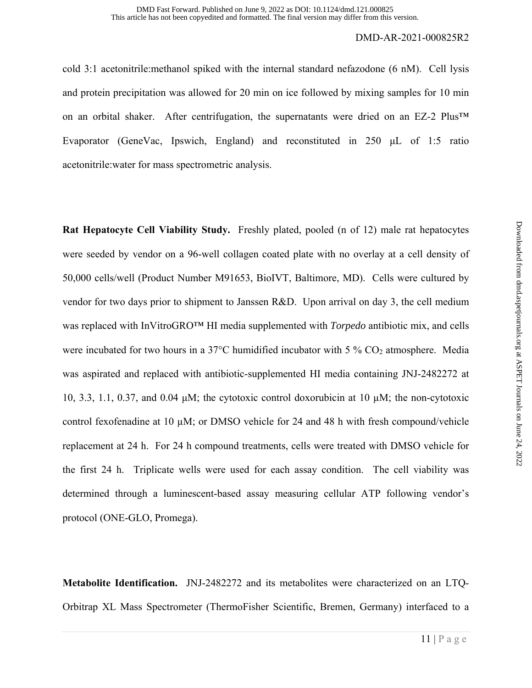cold 3:1 acetonitrile:methanol spiked with the internal standard nefazodone (6 nM). Cell lysis and protein precipitation was allowed for 20 min on ice followed by mixing samples for 10 min on an orbital shaker. After centrifugation, the supernatants were dried on an EZ-2 Plus™ Evaporator (GeneVac, Ipswich, England) and reconstituted in 250 μL of 1:5 ratio acetonitrile:water for mass spectrometric analysis.

**Rat Hepatocyte Cell Viability Study.** Freshly plated, pooled (n of 12) male rat hepatocytes were seeded by vendor on a 96-well collagen coated plate with no overlay at a cell density of 50,000 cells/well (Product Number M91653, BioIVT, Baltimore, MD). Cells were cultured by vendor for two days prior to shipment to Janssen R&D. Upon arrival on day 3, the cell medium was replaced with InVitroGRO™ HI media supplemented with *Torpedo* antibiotic mix, and cells were incubated for two hours in a 37 $\degree$ C humidified incubator with 5 % CO<sub>2</sub> atmosphere. Media was aspirated and replaced with antibiotic-supplemented HI media containing JNJ-2482272 at 10, 3.3, 1.1, 0.37, and 0.04  $\mu$ M; the cytotoxic control doxorubicin at 10  $\mu$ M; the non-cytotoxic control fexofenadine at 10  $\mu$ M; or DMSO vehicle for 24 and 48 h with fresh compound/vehicle replacement at 24 h. For 24 h compound treatments, cells were treated with DMSO vehicle for the first 24 h. Triplicate wells were used for each assay condition. The cell viability was determined through a luminescent-based assay measuring cellular ATP following vendor's protocol (ONE-GLO, Promega).

**Metabolite Identification.** JNJ-2482272 and its metabolites were characterized on an LTQ-Orbitrap XL Mass Spectrometer (ThermoFisher Scientific, Bremen, Germany) interfaced to a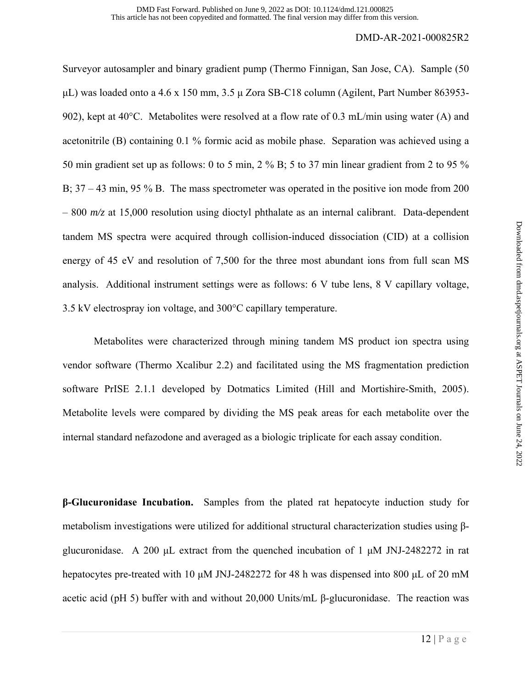Surveyor autosampler and binary gradient pump (Thermo Finnigan, San Jose, CA). Sample (50 μL) was loaded onto a 4.6 x 150 mm, 3.5 μ Zora SB-C18 column (Agilent, Part Number 863953- 902), kept at 40°C. Metabolites were resolved at a flow rate of 0.3 mL/min using water (A) and acetonitrile (B) containing 0.1 % formic acid as mobile phase. Separation was achieved using a 50 min gradient set up as follows: 0 to 5 min, 2 % B; 5 to 37 min linear gradient from 2 to 95 % B;  $37 - 43$  min,  $95\%$  B. The mass spectrometer was operated in the positive ion mode from 200 – 800 *m/z* at 15,000 resolution using dioctyl phthalate as an internal calibrant. Data-dependent tandem MS spectra were acquired through collision-induced dissociation (CID) at a collision energy of 45 eV and resolution of 7,500 for the three most abundant ions from full scan MS analysis. Additional instrument settings were as follows: 6 V tube lens, 8 V capillary voltage, 3.5 kV electrospray ion voltage, and 300°C capillary temperature.

 Metabolites were characterized through mining tandem MS product ion spectra using vendor software (Thermo Xcalibur 2.2) and facilitated using the MS fragmentation prediction software PrISE 2.1.1 developed by Dotmatics Limited (Hill and Mortishire-Smith, 2005). Metabolite levels were compared by dividing the MS peak areas for each metabolite over the internal standard nefazodone and averaged as a biologic triplicate for each assay condition.

**β-Glucuronidase Incubation.** Samples from the plated rat hepatocyte induction study for metabolism investigations were utilized for additional structural characterization studies using βglucuronidase. A 200 μL extract from the quenched incubation of 1 μM JNJ-2482272 in rat hepatocytes pre-treated with 10 μM JNJ-2482272 for 48 h was dispensed into 800 μL of 20 mM acetic acid (pH 5) buffer with and without 20,000 Units/mL β-glucuronidase. The reaction was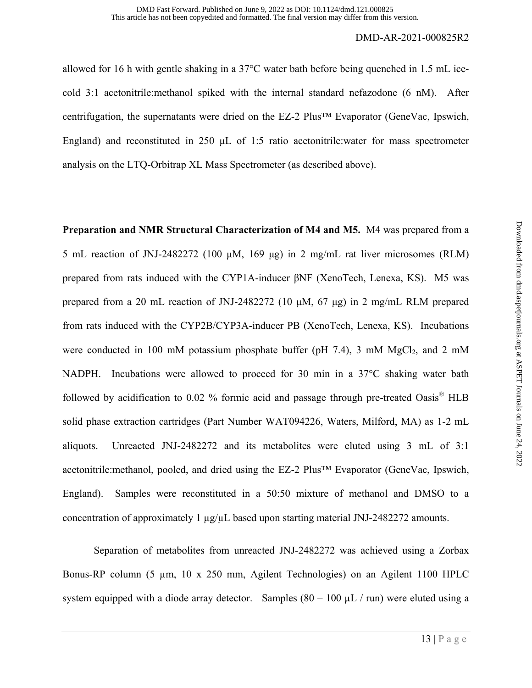allowed for 16 h with gentle shaking in a 37°C water bath before being quenched in 1.5 mL icecold 3:1 acetonitrile:methanol spiked with the internal standard nefazodone (6 nM). After centrifugation, the supernatants were dried on the EZ-2 Plus™ Evaporator (GeneVac, Ipswich, England) and reconstituted in 250 μL of 1:5 ratio acetonitrile:water for mass spectrometer analysis on the LTQ-Orbitrap XL Mass Spectrometer (as described above).

**Preparation and NMR Structural Characterization of M4 and M5.** M4 was prepared from a 5 mL reaction of JNJ-2482272 (100 μM, 169 μg) in 2 mg/mL rat liver microsomes (RLM) prepared from rats induced with the CYP1A-inducer βNF (XenoTech, Lenexa, KS). M5 was prepared from a 20 mL reaction of JNJ-2482272 (10 μM, 67 μg) in 2 mg/mL RLM prepared from rats induced with the CYP2B/CYP3A-inducer PB (XenoTech, Lenexa, KS). Incubations were conducted in 100 mM potassium phosphate buffer (pH 7.4), 3 mM  $MgCl<sub>2</sub>$ , and 2 mM NADPH. Incubations were allowed to proceed for 30 min in a 37°C shaking water bath followed by acidification to 0.02 % formic acid and passage through pre-treated  $\text{Oasis}^{\circledR}$  HLB solid phase extraction cartridges (Part Number WAT094226, Waters, Milford, MA) as 1-2 mL aliquots. Unreacted JNJ-2482272 and its metabolites were eluted using 3 mL of 3:1 acetonitrile:methanol, pooled, and dried using the EZ-2 Plus™ Evaporator (GeneVac, Ipswich, England). Samples were reconstituted in a 50:50 mixture of methanol and DMSO to a concentration of approximately 1  $\mu$ g/ $\mu$ L based upon starting material JNJ-2482272 amounts.

Separation of metabolites from unreacted JNJ-2482272 was achieved using a Zorbax Bonus-RP column (5 µm, 10 x 250 mm, Agilent Technologies) on an Agilent 1100 HPLC system equipped with a diode array detector. Samples  $(80 - 100 \mu L / \text{run})$  were eluted using a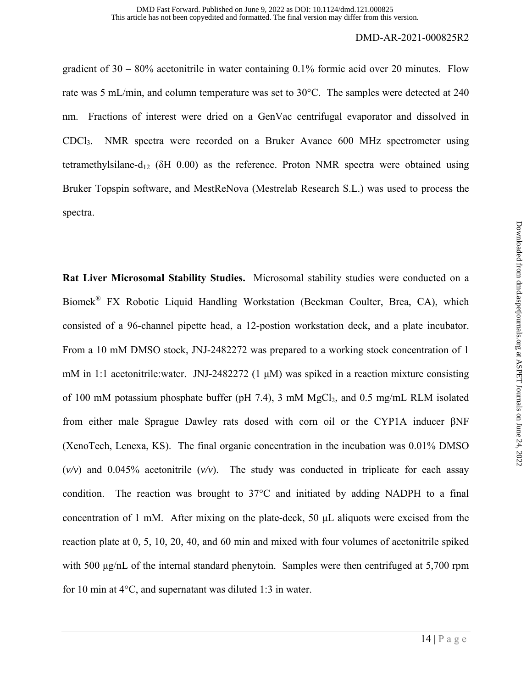gradient of  $30 - 80\%$  acetonitrile in water containing 0.1% formic acid over 20 minutes. Flow rate was 5 mL/min, and column temperature was set to 30°C. The samples were detected at 240 nm. Fractions of interest were dried on a GenVac centrifugal evaporator and dissolved in CDCl3. NMR spectra were recorded on a Bruker Avance 600 MHz spectrometer using tetramethylsilane-d<sub>12</sub> ( $\delta$ H 0.00) as the reference. Proton NMR spectra were obtained using Bruker Topspin software, and MestReNova (Mestrelab Research S.L.) was used to process the spectra.

**Rat Liver Microsomal Stability Studies.** Microsomal stability studies were conducted on a Biomek® FX Robotic Liquid Handling Workstation (Beckman Coulter, Brea, CA), which consisted of a 96-channel pipette head, a 12-postion workstation deck, and a plate incubator. From a 10 mM DMSO stock, JNJ-2482272 was prepared to a working stock concentration of 1 mM in 1:1 acetonitrile:water. JNJ-2482272 (1  $\mu$ M) was spiked in a reaction mixture consisting of 100 mM potassium phosphate buffer (pH 7.4), 3 mM  $MgCl<sub>2</sub>$ , and 0.5 mg/mL RLM isolated from either male Sprague Dawley rats dosed with corn oil or the CYP1A inducer βNF (XenoTech, Lenexa, KS). The final organic concentration in the incubation was 0.01% DMSO  $(v/v)$  and 0.045% acetonitrile  $(v/v)$ . The study was conducted in triplicate for each assay condition. The reaction was brought to 37°C and initiated by adding NADPH to a final concentration of 1 mM. After mixing on the plate-deck, 50 μL aliquots were excised from the reaction plate at 0, 5, 10, 20, 40, and 60 min and mixed with four volumes of acetonitrile spiked with 500 μg/nL of the internal standard phenytoin. Samples were then centrifuged at 5,700 rpm for 10 min at 4°C, and supernatant was diluted 1:3 in water.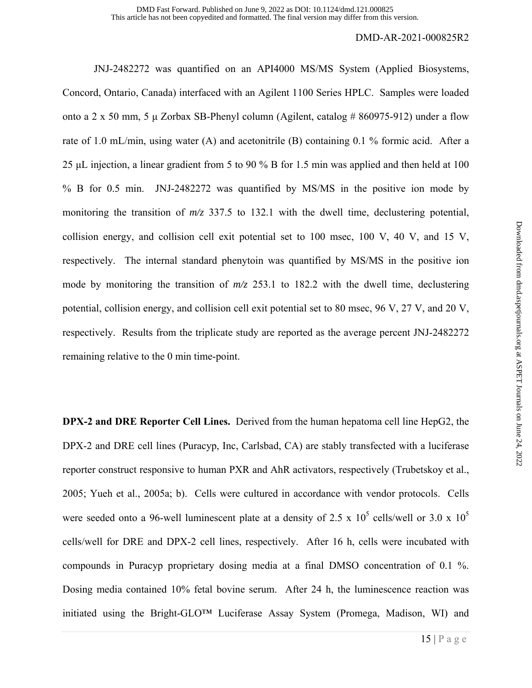JNJ-2482272 was quantified on an API4000 MS/MS System (Applied Biosystems, Concord, Ontario, Canada) interfaced with an Agilent 1100 Series HPLC. Samples were loaded onto a 2 x 50 mm, 5 μ Zorbax SB-Phenyl column (Agilent, catalog # 860975-912) under a flow rate of 1.0 mL/min, using water (A) and acetonitrile (B) containing 0.1 % formic acid. After a 25 μL injection, a linear gradient from 5 to 90 % B for 1.5 min was applied and then held at 100 % B for 0.5 min. JNJ-2482272 was quantified by MS/MS in the positive ion mode by monitoring the transition of  $m/z$  337.5 to 132.1 with the dwell time, declustering potential, collision energy, and collision cell exit potential set to 100 msec, 100 V, 40 V, and 15 V, respectively. The internal standard phenytoin was quantified by MS/MS in the positive ion mode by monitoring the transition of *m/z* 253.1 to 182.2 with the dwell time, declustering potential, collision energy, and collision cell exit potential set to 80 msec, 96 V, 27 V, and 20 V, respectively. Results from the triplicate study are reported as the average percent JNJ-2482272 remaining relative to the 0 min time-point.

**DPX-2 and DRE Reporter Cell Lines.** Derived from the human hepatoma cell line HepG2, the DPX-2 and DRE cell lines (Puracyp, Inc, Carlsbad, CA) are stably transfected with a luciferase reporter construct responsive to human PXR and AhR activators, respectively (Trubetskoy et al., 2005; Yueh et al., 2005a; b). Cells were cultured in accordance with vendor protocols. Cells were seeded onto a 96-well luminescent plate at a density of 2.5 x  $10^5$  cells/well or 3.0 x  $10^5$ cells/well for DRE and DPX-2 cell lines, respectively. After 16 h, cells were incubated with compounds in Puracyp proprietary dosing media at a final DMSO concentration of 0.1 %. Dosing media contained 10% fetal bovine serum. After 24 h, the luminescence reaction was initiated using the Bright-GLO™ Luciferase Assay System (Promega, Madison, WI) and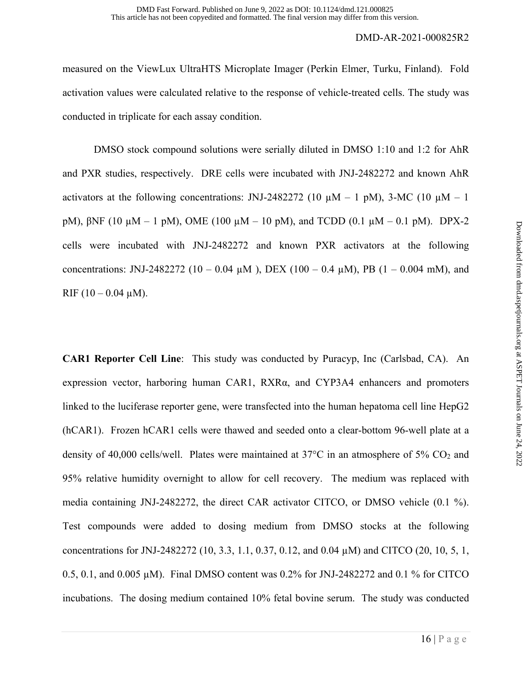measured on the ViewLux UltraHTS Microplate Imager (Perkin Elmer, Turku, Finland). Fold activation values were calculated relative to the response of vehicle-treated cells. The study was conducted in triplicate for each assay condition.

 DMSO stock compound solutions were serially diluted in DMSO 1:10 and 1:2 for AhR and PXR studies, respectively. DRE cells were incubated with JNJ-2482272 and known AhR activators at the following concentrations: JNJ-2482272 (10  $\mu$ M – 1 pM), 3-MC (10  $\mu$ M – 1 pM),  $\beta$ NF (10 μM – 1 pM), OME (100 μM – 10 pM), and TCDD (0.1 μM – 0.1 pM). DPX-2 cells were incubated with JNJ-2482272 and known PXR activators at the following concentrations: JNJ-2482272 (10 – 0.04  $\mu$ M), DEX (100 – 0.4  $\mu$ M), PB (1 – 0.004 mM), and RIF  $(10 - 0.04 \mu M)$ .

**CAR1 Reporter Cell Line**: This study was conducted by Puracyp, Inc (Carlsbad, CA). An expression vector, harboring human CAR1, RXRα, and CYP3A4 enhancers and promoters linked to the luciferase reporter gene, were transfected into the human hepatoma cell line HepG2 (hCAR1). Frozen hCAR1 cells were thawed and seeded onto a clear-bottom 96-well plate at a density of 40,000 cells/well. Plates were maintained at  $37^{\circ}$ C in an atmosphere of  $5\%$  CO<sub>2</sub> and 95% relative humidity overnight to allow for cell recovery. The medium was replaced with media containing JNJ-2482272, the direct CAR activator CITCO, or DMSO vehicle (0.1 %). Test compounds were added to dosing medium from DMSO stocks at the following concentrations for JNJ-2482272 (10, 3.3, 1.1, 0.37, 0.12, and 0.04 µM) and CITCO (20, 10, 5, 1, 0.5, 0.1, and 0.005  $\mu$ M). Final DMSO content was 0.2% for JNJ-2482272 and 0.1 % for CITCO incubations. The dosing medium contained 10% fetal bovine serum. The study was conducted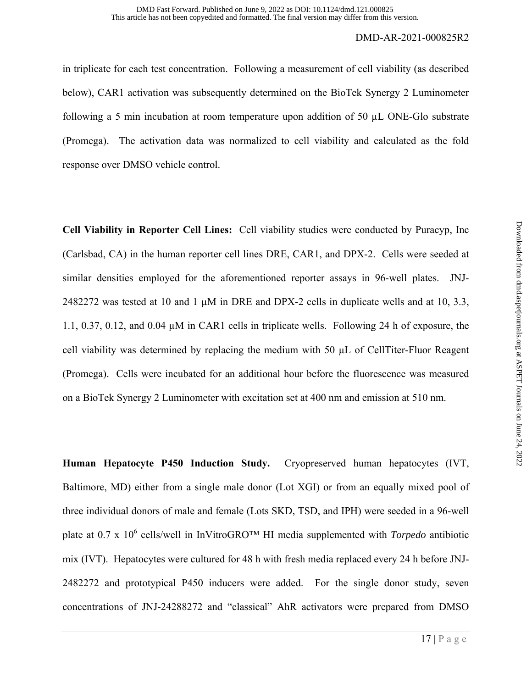in triplicate for each test concentration. Following a measurement of cell viability (as described below), CAR1 activation was subsequently determined on the BioTek Synergy 2 Luminometer following a 5 min incubation at room temperature upon addition of 50 µL ONE-Glo substrate (Promega). The activation data was normalized to cell viability and calculated as the fold response over DMSO vehicle control.

**Cell Viability in Reporter Cell Lines:** Cell viability studies were conducted by Puracyp, Inc (Carlsbad, CA) in the human reporter cell lines DRE, CAR1, and DPX-2. Cells were seeded at similar densities employed for the aforementioned reporter assays in 96-well plates. JNJ-2482272 was tested at 10 and 1  $\mu$ M in DRE and DPX-2 cells in duplicate wells and at 10, 3.3, 1.1, 0.37, 0.12, and 0.04 µM in CAR1 cells in triplicate wells. Following 24 h of exposure, the cell viability was determined by replacing the medium with 50 µL of CellTiter-Fluor Reagent (Promega). Cells were incubated for an additional hour before the fluorescence was measured on a BioTek Synergy 2 Luminometer with excitation set at 400 nm and emission at 510 nm.

**Human Hepatocyte P450 Induction Study.** Cryopreserved human hepatocytes (IVT, Baltimore, MD) either from a single male donor (Lot XGI) or from an equally mixed pool of three individual donors of male and female (Lots SKD, TSD, and IPH) were seeded in a 96-well plate at 0.7 x 10<sup>6</sup> cells/well in InVitroGRO™ HI media supplemented with *Torpedo* antibiotic mix (IVT). Hepatocytes were cultured for 48 h with fresh media replaced every 24 h before JNJ-2482272 and prototypical P450 inducers were added. For the single donor study, seven concentrations of JNJ-24288272 and "classical" AhR activators were prepared from DMSO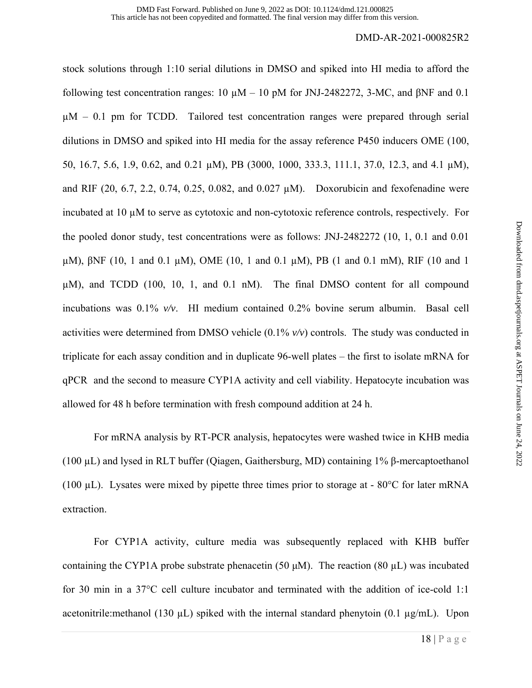stock solutions through 1:10 serial dilutions in DMSO and spiked into HI media to afford the following test concentration ranges:  $10 \mu M - 10 \mu$  for JNJ-2482272, 3-MC, and βNF and 0.1  $\mu$ M – 0.1 pm for TCDD. Tailored test concentration ranges were prepared through serial dilutions in DMSO and spiked into HI media for the assay reference P450 inducers OME (100, 50, 16.7, 5.6, 1.9, 0.62, and 0.21 µM), PB (3000, 1000, 333.3, 111.1, 37.0, 12.3, and 4.1 µM), and RIF (20, 6.7, 2.2, 0.74, 0.25, 0.082, and 0.027  $\mu$ M). Doxorubicin and fexofenadine were incubated at 10 µM to serve as cytotoxic and non-cytotoxic reference controls, respectively. For the pooled donor study, test concentrations were as follows: JNJ-2482272 (10, 1, 0.1 and 0.01 µM), βNF (10, 1 and 0.1 µM), OME (10, 1 and 0.1 µM), PB (1 and 0.1 mM), RIF (10 and 1 µM), and TCDD (100, 10, 1, and 0.1 nM). The final DMSO content for all compound incubations was 0.1% *v/v*. HI medium contained 0.2% bovine serum albumin. Basal cell activities were determined from DMSO vehicle (0.1% *v/v*) controls. The study was conducted in triplicate for each assay condition and in duplicate 96-well plates – the first to isolate mRNA for qPCR and the second to measure CYP1A activity and cell viability. Hepatocyte incubation was allowed for 48 h before termination with fresh compound addition at 24 h.

For mRNA analysis by RT-PCR analysis, hepatocytes were washed twice in KHB media (100 µL) and lysed in RLT buffer (Qiagen, Gaithersburg, MD) containing 1% β-mercaptoethanol (100  $\mu$ L). Lysates were mixed by pipette three times prior to storage at - 80 $\degree$ C for later mRNA extraction.

For CYP1A activity, culture media was subsequently replaced with KHB buffer containing the CYP1A probe substrate phenacetin (50  $\mu$ M). The reaction (80  $\mu$ L) was incubated for 30 min in a 37°C cell culture incubator and terminated with the addition of ice-cold 1:1 acetonitrile:methanol (130  $\mu$ L) spiked with the internal standard phenytoin (0.1  $\mu$ g/mL). Upon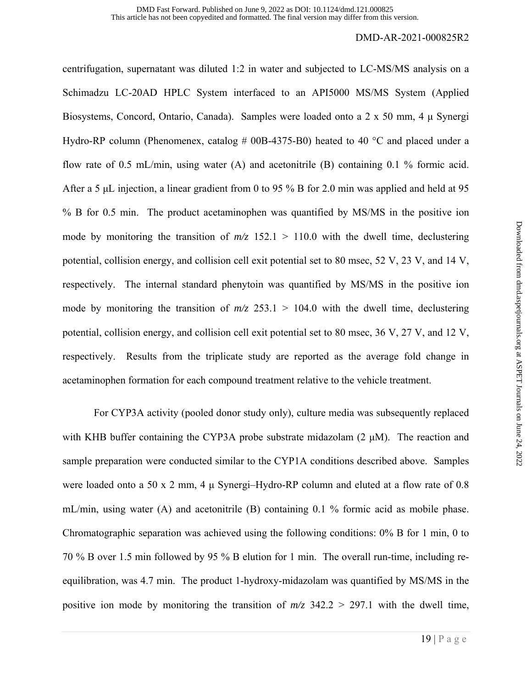centrifugation, supernatant was diluted 1:2 in water and subjected to LC-MS/MS analysis on a Schimadzu LC-20AD HPLC System interfaced to an API5000 MS/MS System (Applied Biosystems, Concord, Ontario, Canada). Samples were loaded onto a 2 x 50 mm, 4 μ Synergi Hydro-RP column (Phenomenex, catalog # 00B-4375-B0) heated to 40  $^{\circ}$ C and placed under a flow rate of 0.5 mL/min, using water (A) and acetonitrile (B) containing 0.1 % formic acid. After a 5 μL injection, a linear gradient from 0 to 95 % B for 2.0 min was applied and held at 95 % B for 0.5 min. The product acetaminophen was quantified by MS/MS in the positive ion mode by monitoring the transition of  $m/z$  152.1 > 110.0 with the dwell time, declustering potential, collision energy, and collision cell exit potential set to 80 msec, 52 V, 23 V, and 14 V, respectively. The internal standard phenytoin was quantified by MS/MS in the positive ion mode by monitoring the transition of  $m/z$  253.1 > 104.0 with the dwell time, declustering potential, collision energy, and collision cell exit potential set to 80 msec, 36 V, 27 V, and 12 V, respectively. Results from the triplicate study are reported as the average fold change in acetaminophen formation for each compound treatment relative to the vehicle treatment.

 For CYP3A activity (pooled donor study only), culture media was subsequently replaced with KHB buffer containing the CYP3A probe substrate midazolam  $(2 \mu M)$ . The reaction and sample preparation were conducted similar to the CYP1A conditions described above. Samples were loaded onto a 50 x 2 mm, 4 μ Synergi–Hydro-RP column and eluted at a flow rate of 0.8 mL/min, using water (A) and acetonitrile (B) containing 0.1 % formic acid as mobile phase. Chromatographic separation was achieved using the following conditions: 0% B for 1 min, 0 to 70 % B over 1.5 min followed by 95 % B elution for 1 min. The overall run-time, including reequilibration, was 4.7 min. The product 1-hydroxy-midazolam was quantified by MS/MS in the positive ion mode by monitoring the transition of  $m/z$  342.2 > 297.1 with the dwell time,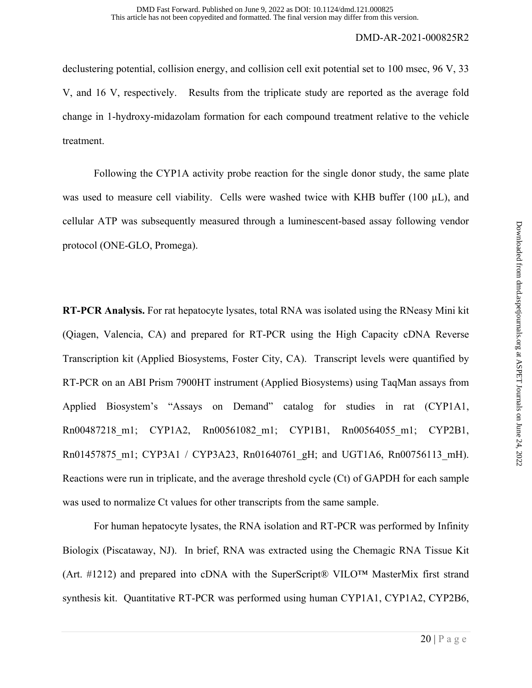declustering potential, collision energy, and collision cell exit potential set to 100 msec, 96 V, 33 V, and 16 V, respectively. Results from the triplicate study are reported as the average fold change in 1-hydroxy-midazolam formation for each compound treatment relative to the vehicle treatment.

Following the CYP1A activity probe reaction for the single donor study, the same plate was used to measure cell viability. Cells were washed twice with KHB buffer (100 µL), and cellular ATP was subsequently measured through a luminescent-based assay following vendor protocol (ONE-GLO, Promega).

**RT-PCR Analysis.** For rat hepatocyte lysates, total RNA was isolated using the RNeasy Mini kit (Qiagen, Valencia, CA) and prepared for RT-PCR using the High Capacity cDNA Reverse Transcription kit (Applied Biosystems, Foster City, CA). Transcript levels were quantified by RT-PCR on an ABI Prism 7900HT instrument (Applied Biosystems) using TaqMan assays from Applied Biosystem's "Assays on Demand" catalog for studies in rat (CYP1A1, Rn00487218 m1; CYP1A2, Rn00561082 m1; CYP1B1, Rn00564055 m1; CYP2B1, Rn01457875 m1; CYP3A1 / CYP3A23, Rn01640761 gH; and UGT1A6, Rn00756113 mH). Reactions were run in triplicate, and the average threshold cycle (Ct) of GAPDH for each sample was used to normalize Ct values for other transcripts from the same sample.

For human hepatocyte lysates, the RNA isolation and RT-PCR was performed by Infinity Biologix (Piscataway, NJ). In brief, RNA was extracted using the Chemagic RNA Tissue Kit (Art.  $\#1212$ ) and prepared into cDNA with the SuperScript® VILO<sup>TM</sup> MasterMix first strand synthesis kit. Quantitative RT-PCR was performed using human CYP1A1, CYP1A2, CYP2B6,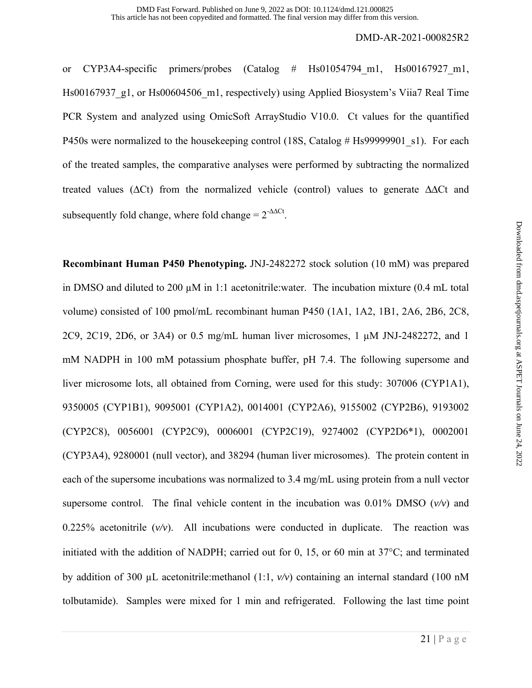or CYP3A4-specific primers/probes (Catalog # Hs01054794\_m1, Hs00167927\_m1, Hs00167937\_g1, or Hs00604506\_m1, respectively) using Applied Biosystem's Viia7 Real Time PCR System and analyzed using OmicSoft ArrayStudio V10.0. Ct values for the quantified P450s were normalized to the housekeeping control (18S, Catalog # Hs99999901 s1). For each of the treated samples, the comparative analyses were performed by subtracting the normalized treated values ( $\Delta$ Ct) from the normalized vehicle (control) values to generate  $\Delta$  $\Delta$ Ct and subsequently fold change, where fold change =  $2^{-\Delta\Delta Ct}$ .

**Recombinant Human P450 Phenotyping.** JNJ-2482272 stock solution (10 mM) was prepared in DMSO and diluted to 200  $\mu$ M in 1:1 acetonitrile:water. The incubation mixture (0.4 mL total volume) consisted of 100 pmol/mL recombinant human P450 (1A1, 1A2, 1B1, 2A6, 2B6, 2C8, 2C9, 2C19, 2D6, or 3A4) or 0.5 mg/mL human liver microsomes, 1 µM JNJ-2482272, and 1 mM NADPH in 100 mM potassium phosphate buffer, pH 7.4. The following supersome and liver microsome lots, all obtained from Corning, were used for this study: 307006 (CYP1A1), 9350005 (CYP1B1), 9095001 (CYP1A2), 0014001 (CYP2A6), 9155002 (CYP2B6), 9193002 (CYP2C8), 0056001 (CYP2C9), 0006001 (CYP2C19), 9274002 (CYP2D6\*1), 0002001 (CYP3A4), 9280001 (null vector), and 38294 (human liver microsomes). The protein content in each of the supersome incubations was normalized to 3.4 mg/mL using protein from a null vector supersome control. The final vehicle content in the incubation was  $0.01\%$  DMSO ( $v/v$ ) and 0.225% acetonitrile  $(v/v)$ . All incubations were conducted in duplicate. The reaction was initiated with the addition of NADPH; carried out for 0, 15, or 60 min at 37°C; and terminated by addition of 300 µL acetonitrile:methanol (1:1, *v/v*) containing an internal standard (100 nM tolbutamide). Samples were mixed for 1 min and refrigerated. Following the last time point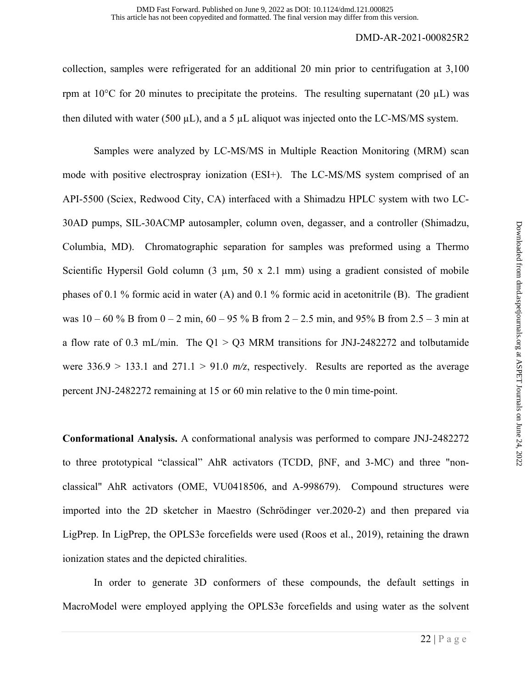collection, samples were refrigerated for an additional 20 min prior to centrifugation at 3,100 rpm at  $10^{\circ}$ C for 20 minutes to precipitate the proteins. The resulting supernatant (20  $\mu$ L) was then diluted with water (500  $\mu$ L), and a 5  $\mu$ L aliquot was injected onto the LC-MS/MS system.

Samples were analyzed by LC-MS/MS in Multiple Reaction Monitoring (MRM) scan mode with positive electrospray ionization (ESI+). The LC-MS/MS system comprised of an API-5500 (Sciex, Redwood City, CA) interfaced with a Shimadzu HPLC system with two LC-30AD pumps, SIL-30ACMP autosampler, column oven, degasser, and a controller (Shimadzu, Columbia, MD). Chromatographic separation for samples was preformed using a Thermo Scientific Hypersil Gold column  $(3 \mu m, 50 \times 2.1 \text{ mm})$  using a gradient consisted of mobile phases of 0.1 % formic acid in water (A) and 0.1 % formic acid in acetonitrile (B). The gradient was  $10 - 60$  % B from  $0 - 2$  min,  $60 - 95$  % B from  $2 - 2.5$  min, and 95% B from  $2.5 - 3$  min at a flow rate of 0.3 mL/min. The  $Q1 > Q3$  MRM transitions for JNJ-2482272 and tolbutamide were  $336.9 > 133.1$  and  $271.1 > 91.0$   $m/z$ , respectively. Results are reported as the average percent JNJ-2482272 remaining at 15 or 60 min relative to the 0 min time-point.

**Conformational Analysis.** A conformational analysis was performed to compare JNJ-2482272 to three prototypical "classical" AhR activators (TCDD, βNF, and 3-MC) and three "nonclassical" AhR activators (OME, VU0418506, and A-998679). Compound structures were imported into the 2D sketcher in Maestro (Schrödinger ver.2020-2) and then prepared via LigPrep. In LigPrep, the OPLS3e forcefields were used (Roos et al., 2019), retaining the drawn ionization states and the depicted chiralities.

In order to generate 3D conformers of these compounds, the default settings in MacroModel were employed applying the OPLS3e forcefields and using water as the solvent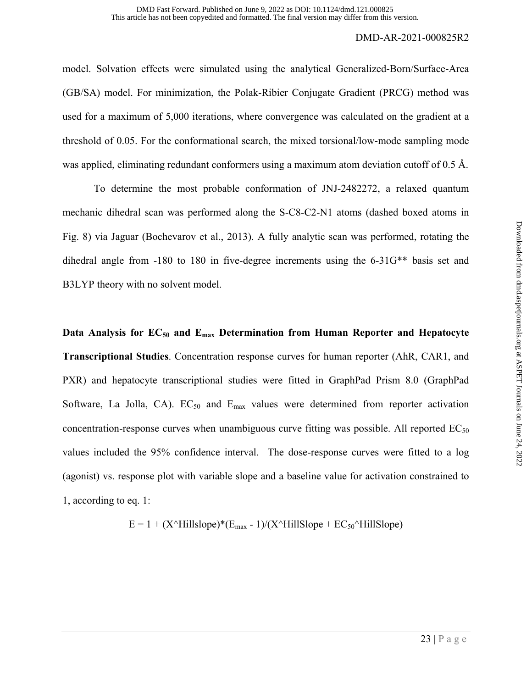model. Solvation effects were simulated using the analytical Generalized-Born/Surface-Area (GB/SA) model. For minimization, the Polak-Ribier Conjugate Gradient (PRCG) method was used for a maximum of 5,000 iterations, where convergence was calculated on the gradient at a threshold of 0.05. For the conformational search, the mixed torsional/low-mode sampling mode was applied, eliminating redundant conformers using a maximum atom deviation cutoff of 0.5 Å.

To determine the most probable conformation of JNJ-2482272, a relaxed quantum mechanic dihedral scan was performed along the S-C8-C2-N1 atoms (dashed boxed atoms in Fig. 8) via Jaguar (Bochevarov et al., 2013). A fully analytic scan was performed, rotating the dihedral angle from -180 to 180 in five-degree increments using the 6-31G\*\* basis set and B3LYP theory with no solvent model.

Data Analysis for EC<sub>50</sub> and E<sub>max</sub> Determination from Human Reporter and Hepatocyte **Transcriptional Studies**. Concentration response curves for human reporter (AhR, CAR1, and PXR) and hepatocyte transcriptional studies were fitted in GraphPad Prism 8.0 (GraphPad Software, La Jolla, CA).  $EC_{50}$  and  $E_{\text{max}}$  values were determined from reporter activation concentration-response curves when unambiguous curve fitting was possible. All reported  $EC_{50}$ values included the 95% confidence interval. The dose-response curves were fitted to a log (agonist) vs. response plot with variable slope and a baseline value for activation constrained to 1, according to eq. 1:

$$
E = 1 + (X^{\wedge}Hillslope)^*(E_{max} - 1)/(X^{\wedge}Hillslope + EC_{50}^{\wedge}Hillslope)
$$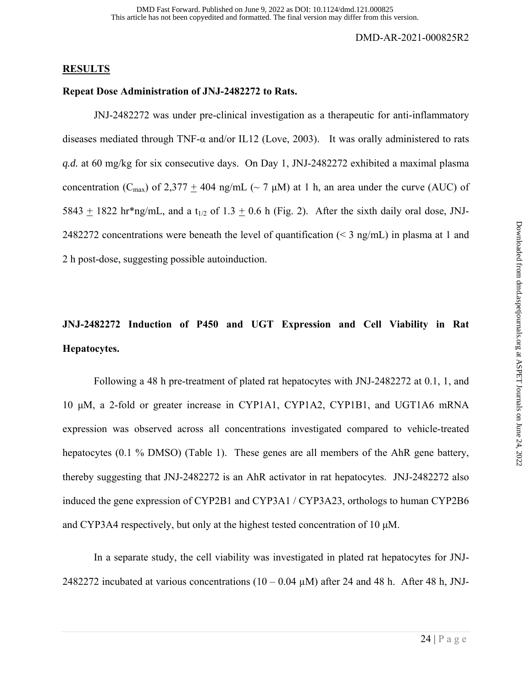#### **RESULTS**

#### **Repeat Dose Administration of JNJ-2482272 to Rats.**

 JNJ-2482272 was under pre-clinical investigation as a therapeutic for anti-inflammatory diseases mediated through TNF-α and/or IL12 (Love, 2003). It was orally administered to rats *q.d.* at 60 mg/kg for six consecutive days. On Day 1, JNJ-2482272 exhibited a maximal plasma concentration (C<sub>max</sub>) of 2,377 + 404 ng/mL ( $\sim$  7 µM) at 1 h, an area under the curve (AUC) of 5843 + 1822 hr\*ng/mL, and a t<sub>1/2</sub> of 1.3 + 0.6 h (Fig. 2). After the sixth daily oral dose, JNJ-2482272 concentrations were beneath the level of quantification ( $\leq$  3 ng/mL) in plasma at 1 and 2 h post-dose, suggesting possible autoinduction.

## **JNJ-2482272 Induction of P450 and UGT Expression and Cell Viability in Rat Hepatocytes.**

 Following a 48 h pre-treatment of plated rat hepatocytes with JNJ-2482272 at 0.1, 1, and 10 μM, a 2-fold or greater increase in CYP1A1, CYP1A2, CYP1B1, and UGT1A6 mRNA expression was observed across all concentrations investigated compared to vehicle-treated hepatocytes (0.1 % DMSO) (Table 1). These genes are all members of the AhR gene battery, thereby suggesting that JNJ-2482272 is an AhR activator in rat hepatocytes. JNJ-2482272 also induced the gene expression of CYP2B1 and CYP3A1 / CYP3A23, orthologs to human CYP2B6 and CYP3A4 respectively, but only at the highest tested concentration of 10 μM.

 In a separate study, the cell viability was investigated in plated rat hepatocytes for JNJ-2482272 incubated at various concentrations ( $10 - 0.04 \mu$ M) after 24 and 48 h. After 48 h, JNJ-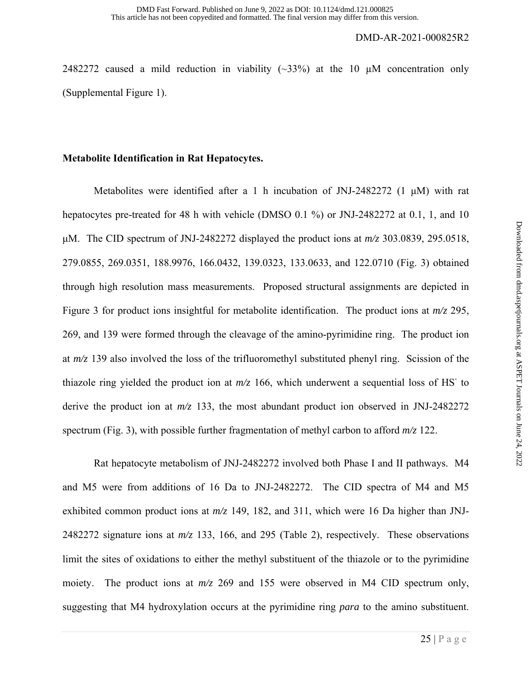2482272 caused a mild reduction in viability  $(\sim 33\%)$  at the 10 µM concentration only (Supplemental Figure 1).

## **Metabolite Identification in Rat Hepatocytes.**

 Metabolites were identified after a 1 h incubation of JNJ-2482272 (1 μM) with rat hepatocytes pre-treated for 48 h with vehicle (DMSO 0.1 %) or JNJ-2482272 at 0.1, 1, and 10 μM. The CID spectrum of JNJ-2482272 displayed the product ions at *m/z* 303.0839, 295.0518, 279.0855, 269.0351, 188.9976, 166.0432, 139.0323, 133.0633, and 122.0710 (Fig. 3) obtained through high resolution mass measurements. Proposed structural assignments are depicted in Figure 3 for product ions insightful for metabolite identification. The product ions at *m/z* 295, 269, and 139 were formed through the cleavage of the amino-pyrimidine ring. The product ion at *m/z* 139 also involved the loss of the trifluoromethyl substituted phenyl ring. Scission of the thiazole ring yielded the product ion at  $m/z$  166, which underwent a sequential loss of HS<sup>-</sup> to derive the product ion at *m/z* 133, the most abundant product ion observed in JNJ-2482272 spectrum (Fig. 3), with possible further fragmentation of methyl carbon to afford *m/z* 122.

Rat hepatocyte metabolism of JNJ-2482272 involved both Phase I and II pathways. M4 and M5 were from additions of 16 Da to JNJ-2482272. The CID spectra of M4 and M5 exhibited common product ions at *m/z* 149, 182, and 311, which were 16 Da higher than JNJ-2482272 signature ions at *m/z* 133, 166, and 295 (Table 2), respectively. These observations limit the sites of oxidations to either the methyl substituent of the thiazole or to the pyrimidine moiety. The product ions at *m/z* 269 and 155 were observed in M4 CID spectrum only, suggesting that M4 hydroxylation occurs at the pyrimidine ring *para* to the amino substituent.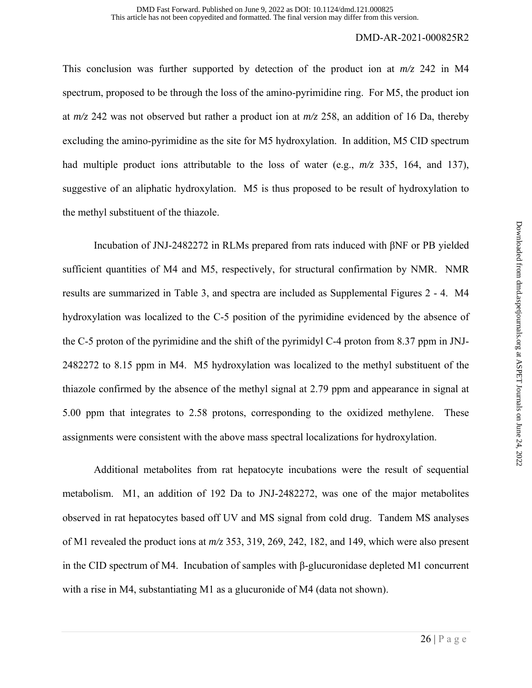This conclusion was further supported by detection of the product ion at *m/z* 242 in M4 spectrum, proposed to be through the loss of the amino-pyrimidine ring. For M5, the product ion at *m/z* 242 was not observed but rather a product ion at *m/z* 258, an addition of 16 Da, thereby excluding the amino-pyrimidine as the site for M5 hydroxylation. In addition, M5 CID spectrum had multiple product ions attributable to the loss of water (e.g., *m/z* 335, 164, and 137), suggestive of an aliphatic hydroxylation. M5 is thus proposed to be result of hydroxylation to the methyl substituent of the thiazole.

Incubation of JNJ-2482272 in RLMs prepared from rats induced with βNF or PB yielded sufficient quantities of M4 and M5, respectively, for structural confirmation by NMR. NMR results are summarized in Table 3, and spectra are included as Supplemental Figures 2 - 4. M4 hydroxylation was localized to the C-5 position of the pyrimidine evidenced by the absence of the C-5 proton of the pyrimidine and the shift of the pyrimidyl C-4 proton from 8.37 ppm in JNJ-2482272 to 8.15 ppm in M4. M5 hydroxylation was localized to the methyl substituent of the thiazole confirmed by the absence of the methyl signal at 2.79 ppm and appearance in signal at 5.00 ppm that integrates to 2.58 protons, corresponding to the oxidized methylene. These assignments were consistent with the above mass spectral localizations for hydroxylation.

 Additional metabolites from rat hepatocyte incubations were the result of sequential metabolism. M1, an addition of 192 Da to JNJ-2482272, was one of the major metabolites observed in rat hepatocytes based off UV and MS signal from cold drug. Tandem MS analyses of M1 revealed the product ions at *m/z* 353, 319, 269, 242, 182, and 149, which were also present in the CID spectrum of M4. Incubation of samples with β-glucuronidase depleted M1 concurrent with a rise in M4, substantiating M1 as a glucuronide of M4 (data not shown).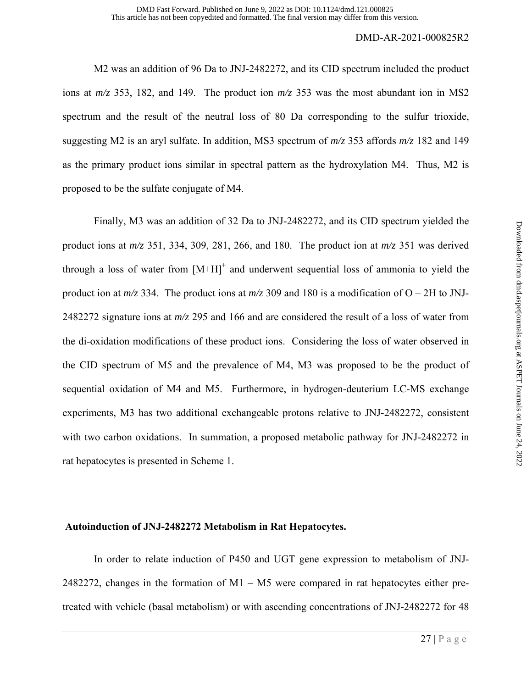M2 was an addition of 96 Da to JNJ-2482272, and its CID spectrum included the product ions at *m/z* 353, 182, and 149. The product ion *m/z* 353 was the most abundant ion in MS2 spectrum and the result of the neutral loss of 80 Da corresponding to the sulfur trioxide, suggesting M2 is an aryl sulfate. In addition, MS3 spectrum of *m/z* 353 affords *m/z* 182 and 149 as the primary product ions similar in spectral pattern as the hydroxylation M4. Thus, M2 is proposed to be the sulfate conjugate of M4.

Finally, M3 was an addition of 32 Da to JNJ-2482272, and its CID spectrum yielded the product ions at *m/z* 351, 334, 309, 281, 266, and 180. The product ion at *m/z* 351 was derived through a loss of water from  $[M+H]^+$  and underwent sequential loss of ammonia to yield the product ion at  $m/z$  334. The product ions at  $m/z$  309 and 180 is a modification of O – 2H to JNJ-2482272 signature ions at *m/z* 295 and 166 and are considered the result of a loss of water from the di-oxidation modifications of these product ions. Considering the loss of water observed in the CID spectrum of M5 and the prevalence of M4, M3 was proposed to be the product of sequential oxidation of M4 and M5. Furthermore, in hydrogen-deuterium LC-MS exchange experiments, M3 has two additional exchangeable protons relative to JNJ-2482272, consistent with two carbon oxidations. In summation, a proposed metabolic pathway for JNJ-2482272 in rat hepatocytes is presented in Scheme 1.

#### **Autoinduction of JNJ-2482272 Metabolism in Rat Hepatocytes.**

 In order to relate induction of P450 and UGT gene expression to metabolism of JNJ-2482272, changes in the formation of M1 – M5 were compared in rat hepatocytes either pretreated with vehicle (basal metabolism) or with ascending concentrations of JNJ-2482272 for 48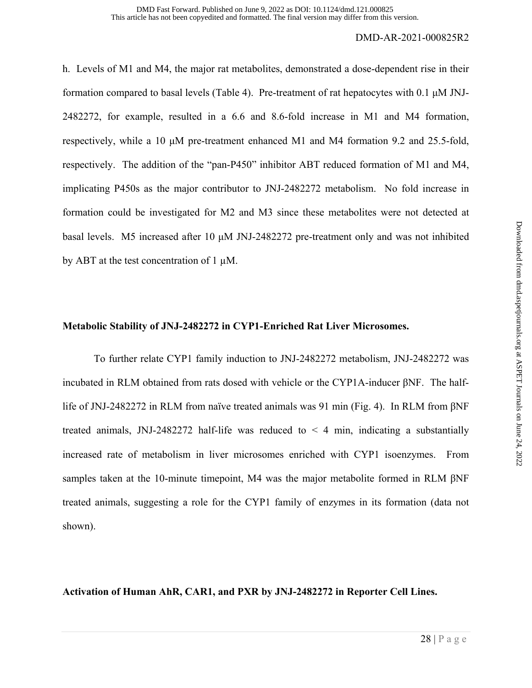h. Levels of M1 and M4, the major rat metabolites, demonstrated a dose-dependent rise in their formation compared to basal levels (Table 4). Pre-treatment of rat hepatocytes with 0.1 μM JNJ-2482272, for example, resulted in a 6.6 and 8.6-fold increase in M1 and M4 formation, respectively, while a 10 μM pre-treatment enhanced M1 and M4 formation 9.2 and 25.5-fold, respectively. The addition of the "pan-P450" inhibitor ABT reduced formation of M1 and M4, implicating P450s as the major contributor to JNJ-2482272 metabolism. No fold increase in formation could be investigated for M2 and M3 since these metabolites were not detected at basal levels. M5 increased after 10 μM JNJ-2482272 pre-treatment only and was not inhibited by ABT at the test concentration of 1  $\mu$ M.

## **Metabolic Stability of JNJ-2482272 in CYP1-Enriched Rat Liver Microsomes.**

 To further relate CYP1 family induction to JNJ-2482272 metabolism, JNJ-2482272 was incubated in RLM obtained from rats dosed with vehicle or the CYP1A-inducer βNF. The halflife of JNJ-2482272 in RLM from naïve treated animals was 91 min (Fig. 4). In RLM from βNF treated animals, JNJ-2482272 half-life was reduced to  $\leq$  4 min, indicating a substantially increased rate of metabolism in liver microsomes enriched with CYP1 isoenzymes. From samples taken at the 10-minute timepoint, M4 was the major metabolite formed in RLM βNF treated animals, suggesting a role for the CYP1 family of enzymes in its formation (data not shown).

**Activation of Human AhR, CAR1, and PXR by JNJ-2482272 in Reporter Cell Lines.**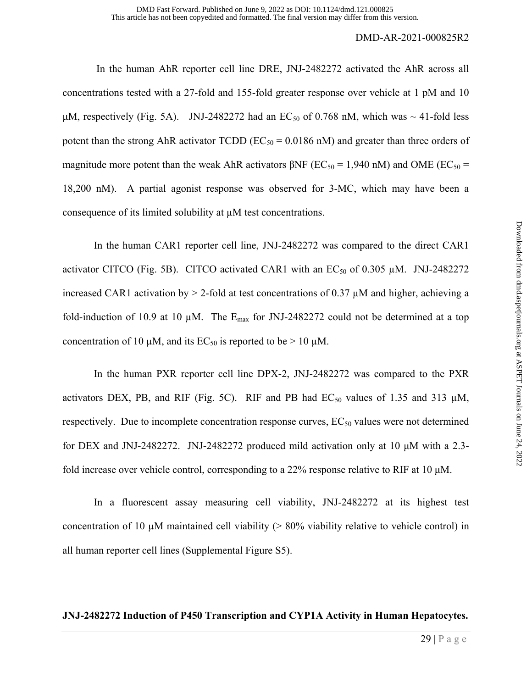In the human AhR reporter cell line DRE, JNJ-2482272 activated the AhR across all concentrations tested with a 27-fold and 155-fold greater response over vehicle at 1 pM and 10 μM, respectively (Fig. 5A). JNJ-2482272 had an  $EC_{50}$  of 0.768 nM, which was  $\sim$  41-fold less potent than the strong AhR activator TCDD ( $EC_{50} = 0.0186$  nM) and greater than three orders of magnitude more potent than the weak AhR activators  $\beta$ NF (EC<sub>50</sub> = 1,940 nM) and OME (EC<sub>50</sub> = 18,200 nM). A partial agonist response was observed for 3-MC, which may have been a consequence of its limited solubility at µM test concentrations.

In the human CAR1 reporter cell line, JNJ-2482272 was compared to the direct CAR1 activator CITCO (Fig. 5B). CITCO activated CAR1 with an  $EC_{50}$  of 0.305  $\mu$ M. JNJ-2482272 increased CAR1 activation by  $> 2$ -fold at test concentrations of 0.37  $\mu$ M and higher, achieving a fold-induction of 10.9 at 10  $\mu$ M. The E<sub>max</sub> for JNJ-2482272 could not be determined at a top concentration of 10  $\mu$ M, and its EC<sub>50</sub> is reported to be > 10  $\mu$ M.

 In the human PXR reporter cell line DPX-2, JNJ-2482272 was compared to the PXR activators DEX, PB, and RIF (Fig. 5C). RIF and PB had  $EC_{50}$  values of 1.35 and 313  $\mu$ M, respectively. Due to incomplete concentration response curves,  $EC_{50}$  values were not determined for DEX and JNJ-2482272. JNJ-2482272 produced mild activation only at 10 μM with a 2.3 fold increase over vehicle control, corresponding to a 22% response relative to RIF at 10 μM.

 In a fluorescent assay measuring cell viability, JNJ-2482272 at its highest test concentration of 10  $\mu$ M maintained cell viability ( $> 80\%$  viability relative to vehicle control) in all human reporter cell lines (Supplemental Figure S5).

## **JNJ-2482272 Induction of P450 Transcription and CYP1A Activity in Human Hepatocytes.**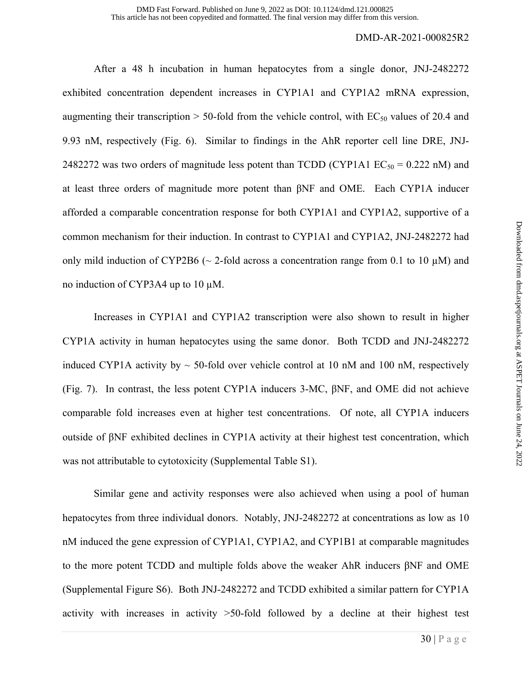After a 48 h incubation in human hepatocytes from a single donor, JNJ-2482272 exhibited concentration dependent increases in CYP1A1 and CYP1A2 mRNA expression, augmenting their transcription  $> 50$ -fold from the vehicle control, with EC<sub>50</sub> values of 20.4 and 9.93 nM, respectively (Fig. 6). Similar to findings in the AhR reporter cell line DRE, JNJ-2482272 was two orders of magnitude less potent than TCDD (CYP1A1  $EC_{50} = 0.222$  nM) and at least three orders of magnitude more potent than βNF and OME. Each CYP1A inducer afforded a comparable concentration response for both CYP1A1 and CYP1A2, supportive of a common mechanism for their induction. In contrast to CYP1A1 and CYP1A2, JNJ-2482272 had only mild induction of CYP2B6 ( $\sim$  2-fold across a concentration range from 0.1 to 10  $\mu$ M) and no induction of CYP3A4 up to 10  $\mu$ M.

 Increases in CYP1A1 and CYP1A2 transcription were also shown to result in higher CYP1A activity in human hepatocytes using the same donor. Both TCDD and JNJ-2482272 induced CYP1A activity by  $\sim$  50-fold over vehicle control at 10 nM and 100 nM, respectively (Fig. 7). In contrast, the less potent CYP1A inducers 3-MC, βNF, and OME did not achieve comparable fold increases even at higher test concentrations. Of note, all CYP1A inducers outside of βNF exhibited declines in CYP1A activity at their highest test concentration, which was not attributable to cytotoxicity (Supplemental Table S1).

Similar gene and activity responses were also achieved when using a pool of human hepatocytes from three individual donors. Notably, JNJ-2482272 at concentrations as low as 10 nM induced the gene expression of CYP1A1, CYP1A2, and CYP1B1 at comparable magnitudes to the more potent TCDD and multiple folds above the weaker AhR inducers βNF and OME (Supplemental Figure S6). Both JNJ-2482272 and TCDD exhibited a similar pattern for CYP1A activity with increases in activity >50-fold followed by a decline at their highest test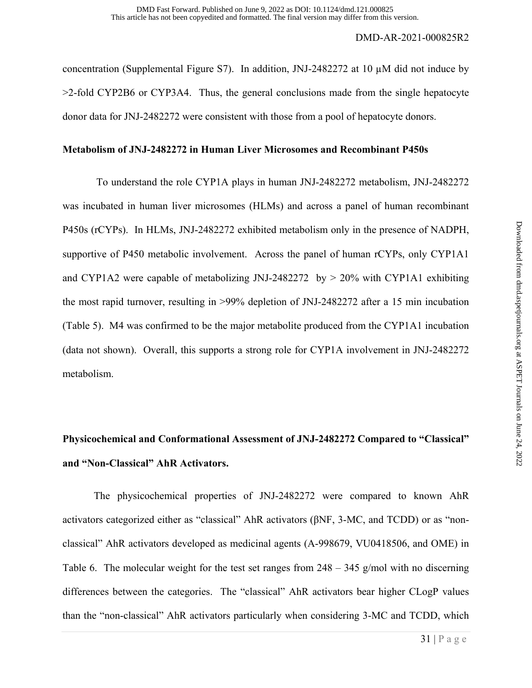concentration (Supplemental Figure S7). In addition, JNJ-2482272 at 10 µM did not induce by >2-fold CYP2B6 or CYP3A4. Thus, the general conclusions made from the single hepatocyte donor data for JNJ-2482272 were consistent with those from a pool of hepatocyte donors.

## **Metabolism of JNJ-2482272 in Human Liver Microsomes and Recombinant P450s**

 To understand the role CYP1A plays in human JNJ-2482272 metabolism, JNJ-2482272 was incubated in human liver microsomes (HLMs) and across a panel of human recombinant P450s (rCYPs). In HLMs, JNJ-2482272 exhibited metabolism only in the presence of NADPH, supportive of P450 metabolic involvement. Across the panel of human rCYPs, only CYP1A1 and CYP1A2 were capable of metabolizing JNJ-2482272 by  $> 20\%$  with CYP1A1 exhibiting the most rapid turnover, resulting in >99% depletion of JNJ-2482272 after a 15 min incubation (Table 5). M4 was confirmed to be the major metabolite produced from the CYP1A1 incubation (data not shown). Overall, this supports a strong role for CYP1A involvement in JNJ-2482272 metabolism.

## **Physicochemical and Conformational Assessment of JNJ-2482272 Compared to "Classical" and "Non-Classical" AhR Activators.**

The physicochemical properties of JNJ-2482272 were compared to known AhR activators categorized either as "classical" AhR activators (βNF, 3-MC, and TCDD) or as "nonclassical" AhR activators developed as medicinal agents (A-998679, VU0418506, and OME) in Table 6. The molecular weight for the test set ranges from  $248 - 345$  g/mol with no discerning differences between the categories. The "classical" AhR activators bear higher CLogP values than the "non-classical" AhR activators particularly when considering 3-MC and TCDD, which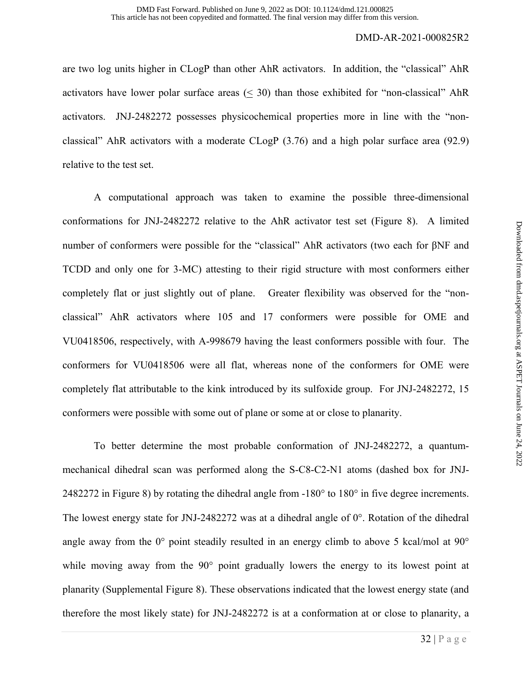are two log units higher in CLogP than other AhR activators. In addition, the "classical" AhR activators have lower polar surface areas  $( $30$ ) than those exhibited for "non-classical" AhR$ activators. JNJ-2482272 possesses physicochemical properties more in line with the "nonclassical" AhR activators with a moderate CLogP (3.76) and a high polar surface area (92.9) relative to the test set.

 A computational approach was taken to examine the possible three-dimensional conformations for JNJ-2482272 relative to the AhR activator test set (Figure 8). A limited number of conformers were possible for the "classical" AhR activators (two each for βNF and TCDD and only one for 3-MC) attesting to their rigid structure with most conformers either completely flat or just slightly out of plane. Greater flexibility was observed for the "nonclassical" AhR activators where 105 and 17 conformers were possible for OME and VU0418506, respectively, with A-998679 having the least conformers possible with four. The conformers for VU0418506 were all flat, whereas none of the conformers for OME were completely flat attributable to the kink introduced by its sulfoxide group. For JNJ-2482272, 15 conformers were possible with some out of plane or some at or close to planarity.

To better determine the most probable conformation of JNJ-2482272, a quantummechanical dihedral scan was performed along the S-C8-C2-N1 atoms (dashed box for JNJ-2482272 in Figure 8) by rotating the dihedral angle from -180° to 180° in five degree increments. The lowest energy state for JNJ-2482272 was at a dihedral angle of  $0^\circ$ . Rotation of the dihedral angle away from the 0° point steadily resulted in an energy climb to above 5 kcal/mol at 90° while moving away from the 90° point gradually lowers the energy to its lowest point at planarity (Supplemental Figure 8). These observations indicated that the lowest energy state (and therefore the most likely state) for JNJ-2482272 is at a conformation at or close to planarity, a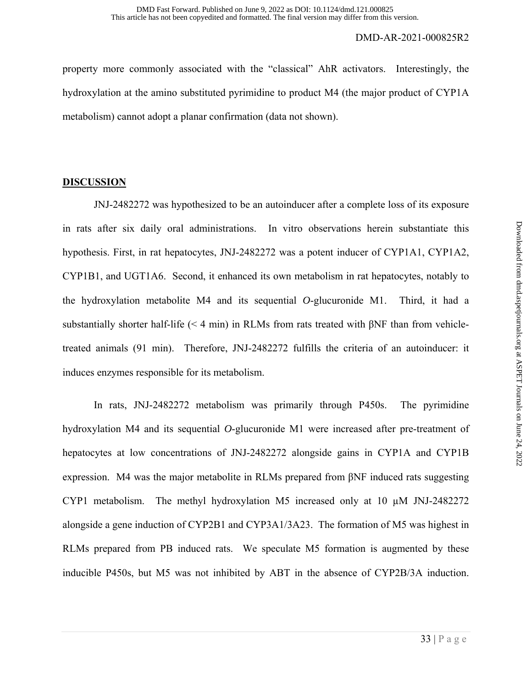property more commonly associated with the "classical" AhR activators. Interestingly, the hydroxylation at the amino substituted pyrimidine to product M4 (the major product of CYP1A metabolism) cannot adopt a planar confirmation (data not shown).

## **DISCUSSION**

JNJ-2482272 was hypothesized to be an autoinducer after a complete loss of its exposure in rats after six daily oral administrations. In vitro observations herein substantiate this hypothesis. First, in rat hepatocytes, JNJ-2482272 was a potent inducer of CYP1A1, CYP1A2, CYP1B1, and UGT1A6. Second, it enhanced its own metabolism in rat hepatocytes, notably to the hydroxylation metabolite M4 and its sequential *O*-glucuronide M1. Third, it had a substantially shorter half-life ( $\leq 4$  min) in RLMs from rats treated with  $\beta$ NF than from vehicletreated animals (91 min). Therefore, JNJ-2482272 fulfills the criteria of an autoinducer: it induces enzymes responsible for its metabolism.

In rats, JNJ-2482272 metabolism was primarily through P450s. The pyrimidine hydroxylation M4 and its sequential *O*-glucuronide M1 were increased after pre-treatment of hepatocytes at low concentrations of JNJ-2482272 alongside gains in CYP1A and CYP1B expression. M4 was the major metabolite in RLMs prepared from βNF induced rats suggesting CYP1 metabolism. The methyl hydroxylation M5 increased only at 10 µM JNJ-2482272 alongside a gene induction of CYP2B1 and CYP3A1/3A23. The formation of M5 was highest in RLMs prepared from PB induced rats. We speculate M5 formation is augmented by these inducible P450s, but M5 was not inhibited by ABT in the absence of CYP2B/3A induction.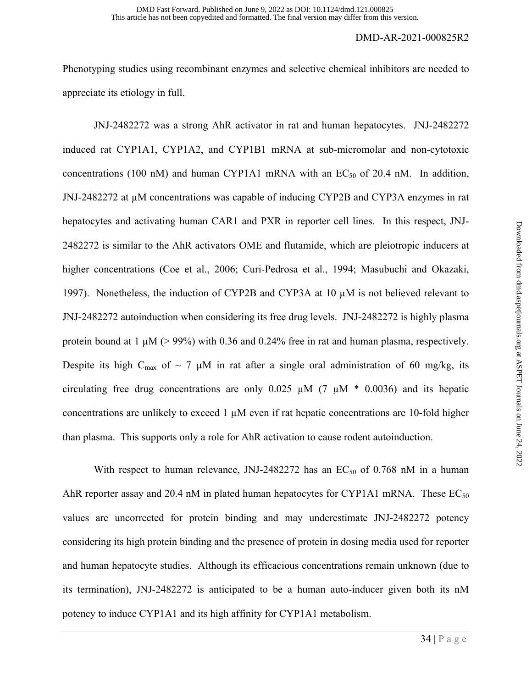Phenotyping studies using recombinant enzymes and selective chemical inhibitors are needed to appreciate its etiology in full.

 JNJ-2482272 was a strong AhR activator in rat and human hepatocytes. JNJ-2482272 induced rat CYP1A1, CYP1A2, and CYP1B1 mRNA at sub-micromolar and non-cytotoxic concentrations (100 nM) and human CYP1A1 mRNA with an  $EC_{50}$  of 20.4 nM. In addition, JNJ-2482272 at µM concentrations was capable of inducing CYP2B and CYP3A enzymes in rat hepatocytes and activating human CAR1 and PXR in reporter cell lines. In this respect, JNJ-2482272 is similar to the AhR activators OME and flutamide, which are pleiotropic inducers at higher concentrations (Coe et al., 2006; Curi-Pedrosa et al., 1994; Masubuchi and Okazaki, 1997). Nonetheless, the induction of CYP2B and CYP3A at 10 µM is not believed relevant to JNJ-2482272 autoinduction when considering its free drug levels. JNJ-2482272 is highly plasma protein bound at  $1 \mu M$  ( $> 99\%$ ) with 0.36 and 0.24% free in rat and human plasma, respectively. Despite its high C<sub>max</sub> of  $\sim$  7 µM in rat after a single oral administration of 60 mg/kg, its circulating free drug concentrations are only  $0.025 \mu M$  (7  $\mu$ M  $*$  0.0036) and its hepatic concentrations are unlikely to exceed  $1 \mu$ M even if rat hepatic concentrations are 10-fold higher than plasma. This supports only a role for AhR activation to cause rodent autoinduction.

With respect to human relevance, JNJ-2482272 has an  $EC_{50}$  of 0.768 nM in a human AhR reporter assay and 20.4 nM in plated human hepatocytes for CYP1A1 mRNA. These  $EC_{50}$ values are uncorrected for protein binding and may underestimate JNJ-2482272 potency considering its high protein binding and the presence of protein in dosing media used for reporter and human hepatocyte studies. Although its efficacious concentrations remain unknown (due to its termination), JNJ-2482272 is anticipated to be a human auto-inducer given both its nM potency to induce CYP1A1 and its high affinity for CYP1A1 metabolism.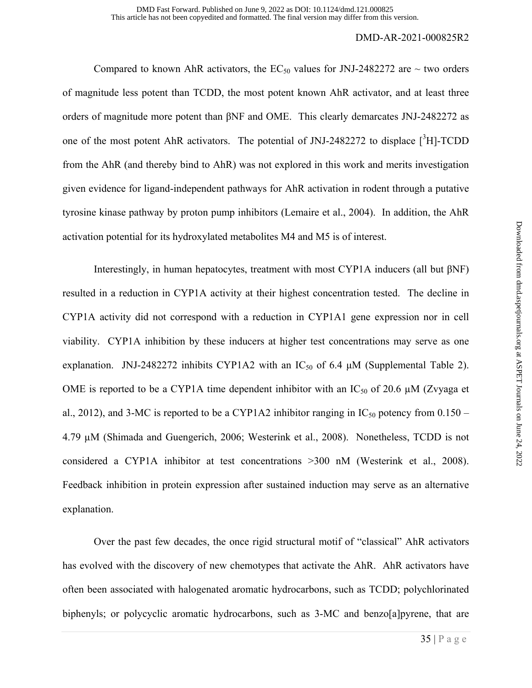Compared to known AhR activators, the  $EC_{50}$  values for JNJ-2482272 are  $\sim$  two orders of magnitude less potent than TCDD, the most potent known AhR activator, and at least three orders of magnitude more potent than βNF and OME. This clearly demarcates JNJ-2482272 as one of the most potent AhR activators. The potential of JNJ-2482272 to displace  $[{}^{3}H]$ -TCDD from the AhR (and thereby bind to AhR) was not explored in this work and merits investigation given evidence for ligand-independent pathways for AhR activation in rodent through a putative tyrosine kinase pathway by proton pump inhibitors (Lemaire et al., 2004). In addition, the AhR activation potential for its hydroxylated metabolites M4 and M5 is of interest.

Interestingly, in human hepatocytes, treatment with most CYP1A inducers (all but βNF) resulted in a reduction in CYP1A activity at their highest concentration tested. The decline in CYP1A activity did not correspond with a reduction in CYP1A1 gene expression nor in cell viability. CYP1A inhibition by these inducers at higher test concentrations may serve as one explanation. JNJ-2482272 inhibits CYP1A2 with an  $IC_{50}$  of 6.4  $\mu$ M (Supplemental Table 2). OME is reported to be a CYP1A time dependent inhibitor with an  $IC_{50}$  of 20.6  $\mu$ M (Zvyaga et al., 2012), and 3-MC is reported to be a CYP1A2 inhibitor ranging in  $IC_{50}$  potency from 0.150 – 4.79 µM (Shimada and Guengerich, 2006; Westerink et al., 2008). Nonetheless, TCDD is not considered a CYP1A inhibitor at test concentrations >300 nM (Westerink et al., 2008). Feedback inhibition in protein expression after sustained induction may serve as an alternative explanation.

 Over the past few decades, the once rigid structural motif of "classical" AhR activators has evolved with the discovery of new chemotypes that activate the AhR. AhR activators have often been associated with halogenated aromatic hydrocarbons, such as TCDD; polychlorinated biphenyls; or polycyclic aromatic hydrocarbons, such as 3-MC and benzo[a]pyrene, that are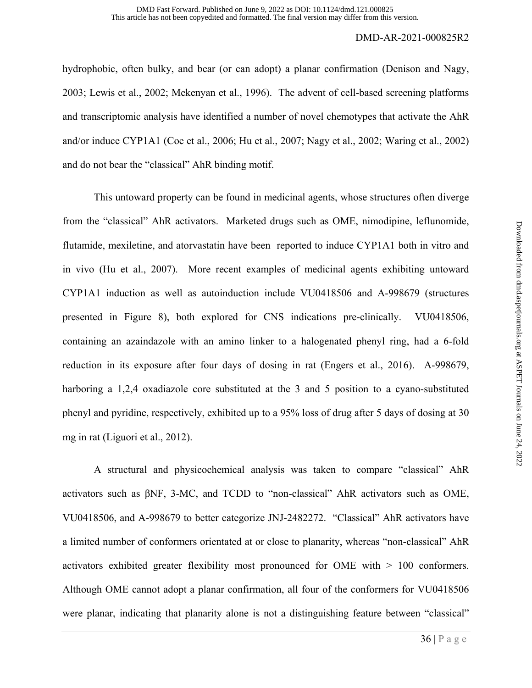hydrophobic, often bulky, and bear (or can adopt) a planar confirmation (Denison and Nagy, 2003; Lewis et al., 2002; Mekenyan et al., 1996). The advent of cell-based screening platforms and transcriptomic analysis have identified a number of novel chemotypes that activate the AhR and/or induce CYP1A1 (Coe et al., 2006; Hu et al., 2007; Nagy et al., 2002; Waring et al., 2002) and do not bear the "classical" AhR binding motif.

This untoward property can be found in medicinal agents, whose structures often diverge from the "classical" AhR activators. Marketed drugs such as OME, nimodipine, leflunomide, flutamide, mexiletine, and atorvastatin have been reported to induce CYP1A1 both in vitro and in vivo (Hu et al., 2007). More recent examples of medicinal agents exhibiting untoward CYP1A1 induction as well as autoinduction include VU0418506 and A-998679 (structures presented in Figure 8), both explored for CNS indications pre-clinically. VU0418506, containing an azaindazole with an amino linker to a halogenated phenyl ring, had a 6-fold reduction in its exposure after four days of dosing in rat (Engers et al., 2016). A-998679, harboring a 1,2,4 oxadiazole core substituted at the 3 and 5 position to a cyano-substituted phenyl and pyridine, respectively, exhibited up to a 95% loss of drug after 5 days of dosing at 30 mg in rat (Liguori et al., 2012).

A structural and physicochemical analysis was taken to compare "classical" AhR activators such as βNF, 3-MC, and TCDD to "non-classical" AhR activators such as OME, VU0418506, and A-998679 to better categorize JNJ-2482272. "Classical" AhR activators have a limited number of conformers orientated at or close to planarity, whereas "non-classical" AhR activators exhibited greater flexibility most pronounced for OME with > 100 conformers. Although OME cannot adopt a planar confirmation, all four of the conformers for VU0418506 were planar, indicating that planarity alone is not a distinguishing feature between "classical"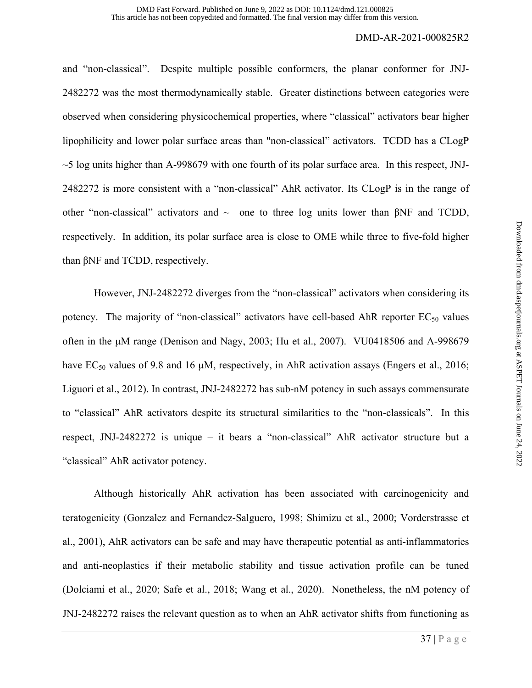and "non-classical". Despite multiple possible conformers, the planar conformer for JNJ-2482272 was the most thermodynamically stable. Greater distinctions between categories were observed when considering physicochemical properties, where "classical" activators bear higher lipophilicity and lower polar surface areas than "non-classical" activators. TCDD has a CLogP  $\sim$ 5 log units higher than A-998679 with one fourth of its polar surface area. In this respect, JNJ-2482272 is more consistent with a "non-classical" AhR activator. Its CLogP is in the range of other "non-classical" activators and  $\sim$  one to three log units lower than βNF and TCDD, respectively. In addition, its polar surface area is close to OME while three to five-fold higher than βNF and TCDD, respectively.

However, JNJ-2482272 diverges from the "non-classical" activators when considering its potency. The majority of "non-classical" activators have cell-based AhR reporter  $EC_{50}$  values often in the μM range (Denison and Nagy, 2003; Hu et al., 2007). VU0418506 and A-998679 have  $EC_{50}$  values of 9.8 and 16  $\mu$ M, respectively, in AhR activation assays (Engers et al., 2016; Liguori et al., 2012). In contrast, JNJ-2482272 has sub-nM potency in such assays commensurate to "classical" AhR activators despite its structural similarities to the "non-classicals". In this respect, JNJ-2482272 is unique – it bears a "non-classical" AhR activator structure but a "classical" AhR activator potency.

 Although historically AhR activation has been associated with carcinogenicity and teratogenicity (Gonzalez and Fernandez-Salguero, 1998; Shimizu et al., 2000; Vorderstrasse et al., 2001), AhR activators can be safe and may have therapeutic potential as anti-inflammatories and anti-neoplastics if their metabolic stability and tissue activation profile can be tuned (Dolciami et al., 2020; Safe et al., 2018; Wang et al., 2020). Nonetheless, the nM potency of JNJ-2482272 raises the relevant question as to when an AhR activator shifts from functioning as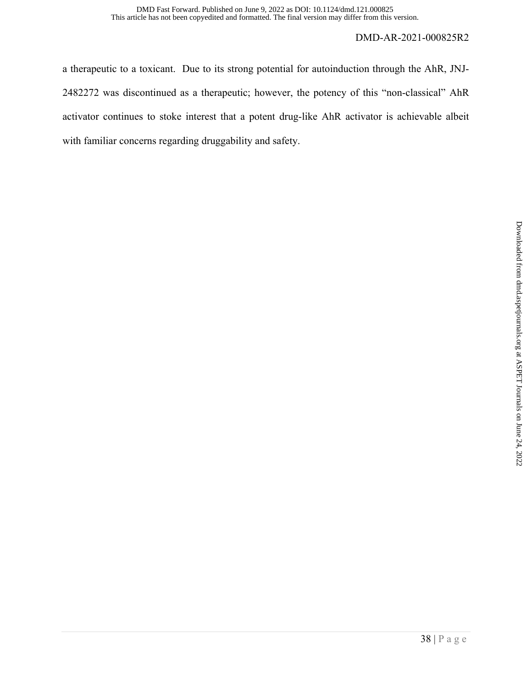a therapeutic to a toxicant. Due to its strong potential for autoinduction through the AhR, JNJ-2482272 was discontinued as a therapeutic; however, the potency of this "non-classical" AhR activator continues to stoke interest that a potent drug-like AhR activator is achievable albeit with familiar concerns regarding druggability and safety.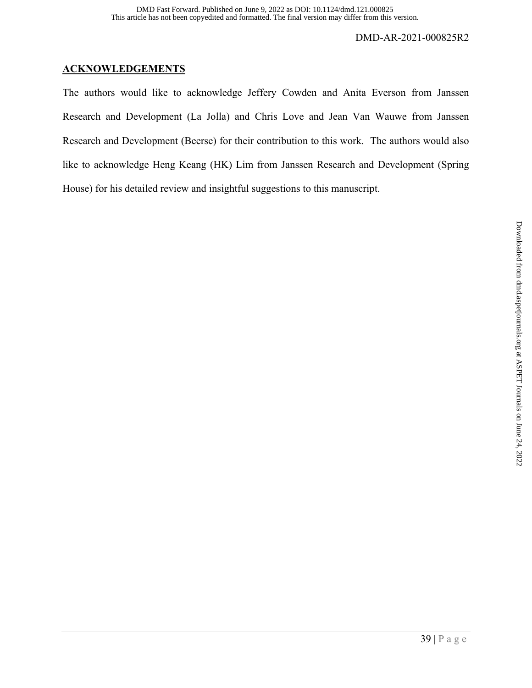## **ACKNOWLEDGEMENTS**

The authors would like to acknowledge Jeffery Cowden and Anita Everson from Janssen Research and Development (La Jolla) and Chris Love and Jean Van Wauwe from Janssen Research and Development (Beerse) for their contribution to this work. The authors would also like to acknowledge Heng Keang (HK) Lim from Janssen Research and Development (Spring House) for his detailed review and insightful suggestions to this manuscript.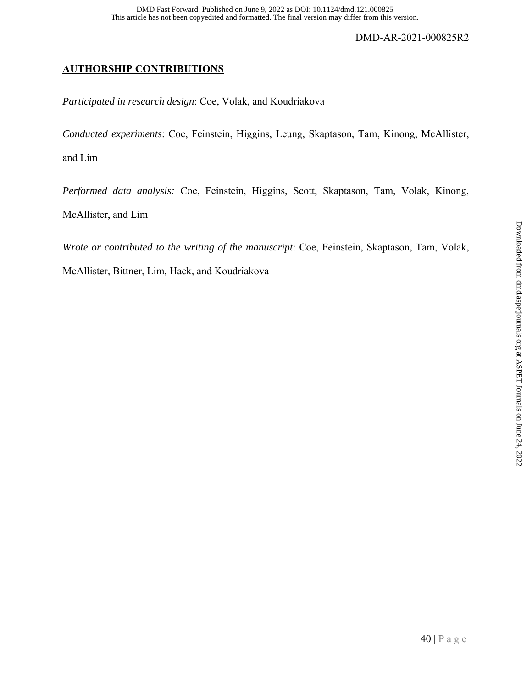## **AUTHORSHIP CONTRIBUTIONS**

*Participated in research design*: Coe, Volak, and Koudriakova

*Conducted experiments*: Coe, Feinstein, Higgins, Leung, Skaptason, Tam, Kinong, McAllister,

and Lim

*Performed data analysis:* Coe, Feinstein, Higgins, Scott, Skaptason, Tam, Volak, Kinong, McAllister, and Lim

*Wrote or contributed to the writing of the manuscript*: Coe, Feinstein, Skaptason, Tam, Volak,

McAllister, Bittner, Lim, Hack, and Koudriakova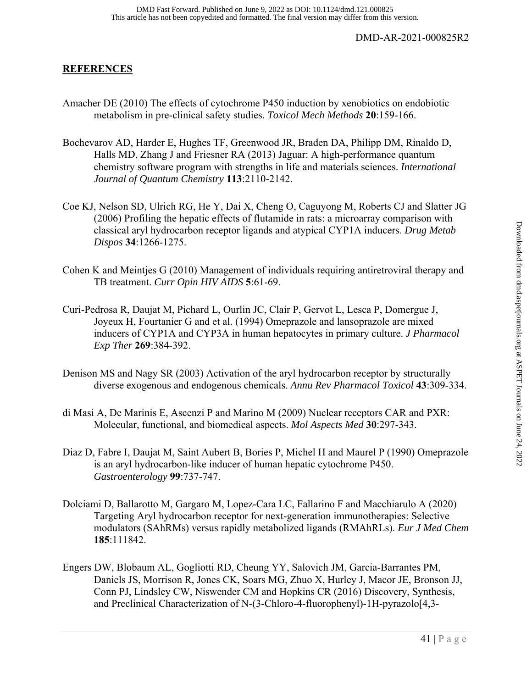## **REFERENCES**

- Amacher DE (2010) The effects of cytochrome P450 induction by xenobiotics on endobiotic metabolism in pre-clinical safety studies. *Toxicol Mech Methods* **20**:159-166.
- Bochevarov AD, Harder E, Hughes TF, Greenwood JR, Braden DA, Philipp DM, Rinaldo D, Halls MD, Zhang J and Friesner RA (2013) Jaguar: A high-performance quantum chemistry software program with strengths in life and materials sciences. *International Journal of Quantum Chemistry* **113**:2110-2142.
- Coe KJ, Nelson SD, Ulrich RG, He Y, Dai X, Cheng O, Caguyong M, Roberts CJ and Slatter JG (2006) Profiling the hepatic effects of flutamide in rats: a microarray comparison with classical aryl hydrocarbon receptor ligands and atypical CYP1A inducers. *Drug Metab Dispos* **34**:1266-1275.
- Cohen K and Meintjes G (2010) Management of individuals requiring antiretroviral therapy and TB treatment. *Curr Opin HIV AIDS* **5**:61-69.
- Curi-Pedrosa R, Daujat M, Pichard L, Ourlin JC, Clair P, Gervot L, Lesca P, Domergue J, Joyeux H, Fourtanier G and et al. (1994) Omeprazole and lansoprazole are mixed inducers of CYP1A and CYP3A in human hepatocytes in primary culture. *J Pharmacol Exp Ther* **269**:384-392.
- Denison MS and Nagy SR (2003) Activation of the aryl hydrocarbon receptor by structurally diverse exogenous and endogenous chemicals. *Annu Rev Pharmacol Toxicol* **43**:309-334.
- di Masi A, De Marinis E, Ascenzi P and Marino M (2009) Nuclear receptors CAR and PXR: Molecular, functional, and biomedical aspects. *Mol Aspects Med* **30**:297-343.
- Diaz D, Fabre I, Daujat M, Saint Aubert B, Bories P, Michel H and Maurel P (1990) Omeprazole is an aryl hydrocarbon-like inducer of human hepatic cytochrome P450. *Gastroenterology* **99**:737-747.
- Dolciami D, Ballarotto M, Gargaro M, Lopez-Cara LC, Fallarino F and Macchiarulo A (2020) Targeting Aryl hydrocarbon receptor for next-generation immunotherapies: Selective modulators (SAhRMs) versus rapidly metabolized ligands (RMAhRLs). *Eur J Med Chem* **185**:111842.
- Engers DW, Blobaum AL, Gogliotti RD, Cheung YY, Salovich JM, Garcia-Barrantes PM, Daniels JS, Morrison R, Jones CK, Soars MG, Zhuo X, Hurley J, Macor JE, Bronson JJ, Conn PJ, Lindsley CW, Niswender CM and Hopkins CR (2016) Discovery, Synthesis, and Preclinical Characterization of N-(3-Chloro-4-fluorophenyl)-1H-pyrazolo[4,3-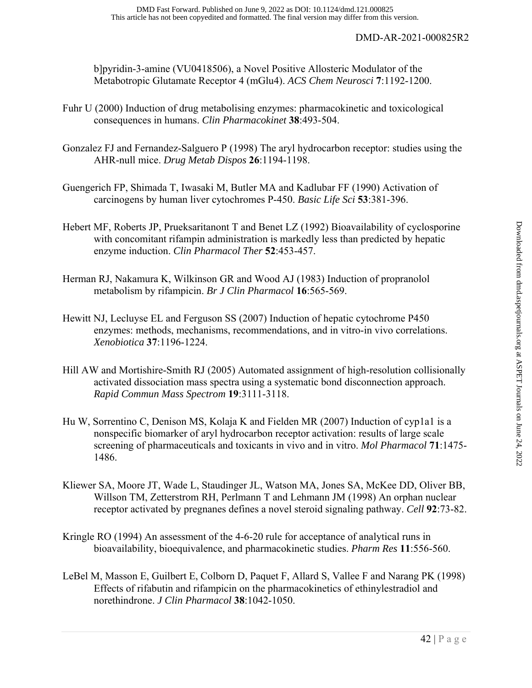b]pyridin-3-amine (VU0418506), a Novel Positive Allosteric Modulator of the Metabotropic Glutamate Receptor 4 (mGlu4). *ACS Chem Neurosci* **7**:1192-1200.

- Fuhr U (2000) Induction of drug metabolising enzymes: pharmacokinetic and toxicological consequences in humans. *Clin Pharmacokinet* **38**:493-504.
- Gonzalez FJ and Fernandez-Salguero P (1998) The aryl hydrocarbon receptor: studies using the AHR-null mice. *Drug Metab Dispos* **26**:1194-1198.
- Guengerich FP, Shimada T, Iwasaki M, Butler MA and Kadlubar FF (1990) Activation of carcinogens by human liver cytochromes P-450. *Basic Life Sci* **53**:381-396.
- Hebert MF, Roberts JP, Prueksaritanont T and Benet LZ (1992) Bioavailability of cyclosporine with concomitant rifampin administration is markedly less than predicted by hepatic enzyme induction. *Clin Pharmacol Ther* **52**:453-457.
- Herman RJ, Nakamura K, Wilkinson GR and Wood AJ (1983) Induction of propranolol metabolism by rifampicin. *Br J Clin Pharmacol* **16**:565-569.
- Hewitt NJ, Lecluyse EL and Ferguson SS (2007) Induction of hepatic cytochrome P450 enzymes: methods, mechanisms, recommendations, and in vitro-in vivo correlations. *Xenobiotica* **37**:1196-1224.
- Hill AW and Mortishire-Smith RJ (2005) Automated assignment of high-resolution collisionally activated dissociation mass spectra using a systematic bond disconnection approach. *Rapid Commun Mass Spectrom* **19**:3111-3118.
- Hu W, Sorrentino C, Denison MS, Kolaja K and Fielden MR (2007) Induction of cyp1a1 is a nonspecific biomarker of aryl hydrocarbon receptor activation: results of large scale screening of pharmaceuticals and toxicants in vivo and in vitro. *Mol Pharmacol* **71**:1475- 1486.
- Kliewer SA, Moore JT, Wade L, Staudinger JL, Watson MA, Jones SA, McKee DD, Oliver BB, Willson TM, Zetterstrom RH, Perlmann T and Lehmann JM (1998) An orphan nuclear receptor activated by pregnanes defines a novel steroid signaling pathway. *Cell* **92**:73-82.
- Kringle RO (1994) An assessment of the 4-6-20 rule for acceptance of analytical runs in bioavailability, bioequivalence, and pharmacokinetic studies. *Pharm Res* **11**:556-560.
- LeBel M, Masson E, Guilbert E, Colborn D, Paquet F, Allard S, Vallee F and Narang PK (1998) Effects of rifabutin and rifampicin on the pharmacokinetics of ethinylestradiol and norethindrone. *J Clin Pharmacol* **38**:1042-1050.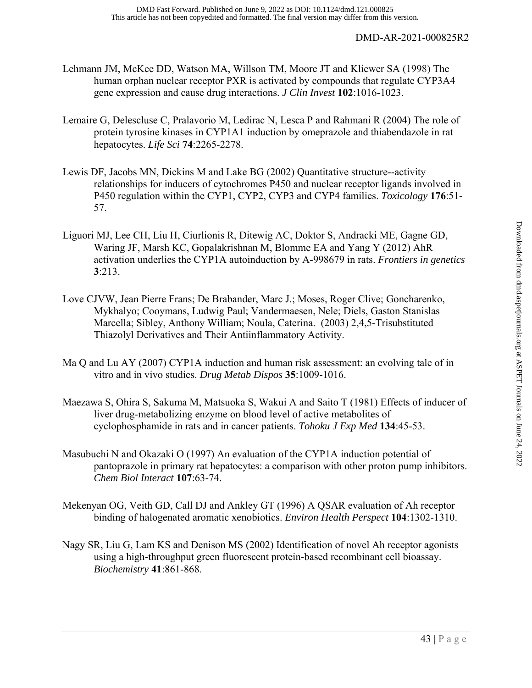- Lehmann JM, McKee DD, Watson MA, Willson TM, Moore JT and Kliewer SA (1998) The human orphan nuclear receptor PXR is activated by compounds that regulate CYP3A4 gene expression and cause drug interactions. *J Clin Invest* **102**:1016-1023.
- Lemaire G, Delescluse C, Pralavorio M, Ledirac N, Lesca P and Rahmani R (2004) The role of protein tyrosine kinases in CYP1A1 induction by omeprazole and thiabendazole in rat hepatocytes. *Life Sci* **74**:2265-2278.
- Lewis DF, Jacobs MN, Dickins M and Lake BG (2002) Quantitative structure--activity relationships for inducers of cytochromes P450 and nuclear receptor ligands involved in P450 regulation within the CYP1, CYP2, CYP3 and CYP4 families. *Toxicology* **176**:51- 57.
- Liguori MJ, Lee CH, Liu H, Ciurlionis R, Ditewig AC, Doktor S, Andracki ME, Gagne GD, Waring JF, Marsh KC, Gopalakrishnan M, Blomme EA and Yang Y (2012) AhR activation underlies the CYP1A autoinduction by A-998679 in rats. *Frontiers in genetics* **3**:213.
- Love CJVW, Jean Pierre Frans; De Brabander, Marc J.; Moses, Roger Clive; Goncharenko, Mykhalyo; Cooymans, Ludwig Paul; Vandermaesen, Nele; Diels, Gaston Stanislas Marcella; Sibley, Anthony William; Noula, Caterina. (2003) 2,4,5-Trisubstituted Thiazolyl Derivatives and Their Antiinflammatory Activity.
- Ma Q and Lu AY (2007) CYP1A induction and human risk assessment: an evolving tale of in vitro and in vivo studies. *Drug Metab Dispos* **35**:1009-1016.
- Maezawa S, Ohira S, Sakuma M, Matsuoka S, Wakui A and Saito T (1981) Effects of inducer of liver drug-metabolizing enzyme on blood level of active metabolites of cyclophosphamide in rats and in cancer patients. *Tohoku J Exp Med* **134**:45-53.
- Masubuchi N and Okazaki O (1997) An evaluation of the CYP1A induction potential of pantoprazole in primary rat hepatocytes: a comparison with other proton pump inhibitors. *Chem Biol Interact* **107**:63-74.
- Mekenyan OG, Veith GD, Call DJ and Ankley GT (1996) A QSAR evaluation of Ah receptor binding of halogenated aromatic xenobiotics. *Environ Health Perspect* **104**:1302-1310.
- Nagy SR, Liu G, Lam KS and Denison MS (2002) Identification of novel Ah receptor agonists using a high-throughput green fluorescent protein-based recombinant cell bioassay. *Biochemistry* **41**:861-868.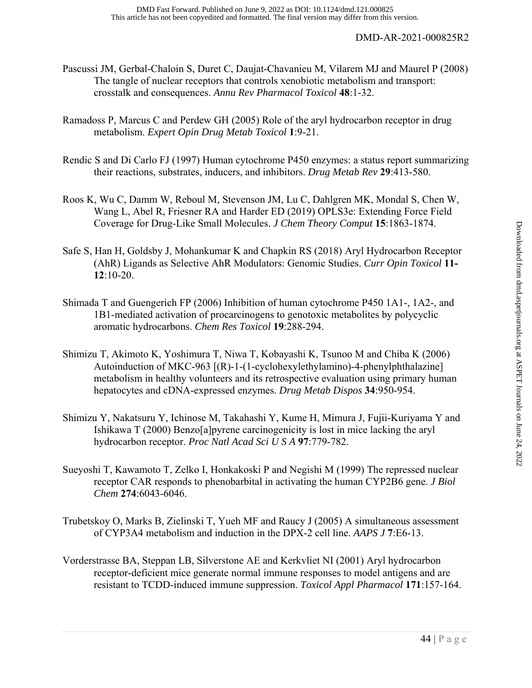- Pascussi JM, Gerbal-Chaloin S, Duret C, Daujat-Chavanieu M, Vilarem MJ and Maurel P (2008) The tangle of nuclear receptors that controls xenobiotic metabolism and transport: crosstalk and consequences. *Annu Rev Pharmacol Toxicol* **48**:1-32.
- Ramadoss P, Marcus C and Perdew GH (2005) Role of the aryl hydrocarbon receptor in drug metabolism. *Expert Opin Drug Metab Toxicol* **1**:9-21.
- Rendic S and Di Carlo FJ (1997) Human cytochrome P450 enzymes: a status report summarizing their reactions, substrates, inducers, and inhibitors. *Drug Metab Rev* **29**:413-580.
- Roos K, Wu C, Damm W, Reboul M, Stevenson JM, Lu C, Dahlgren MK, Mondal S, Chen W, Wang L, Abel R, Friesner RA and Harder ED (2019) OPLS3e: Extending Force Field Coverage for Drug-Like Small Molecules. *J Chem Theory Comput* **15**:1863-1874.
- Safe S, Han H, Goldsby J, Mohankumar K and Chapkin RS (2018) Aryl Hydrocarbon Receptor (AhR) Ligands as Selective AhR Modulators: Genomic Studies. *Curr Opin Toxicol* **11- 12**:10-20.
- Shimada T and Guengerich FP (2006) Inhibition of human cytochrome P450 1A1-, 1A2-, and 1B1-mediated activation of procarcinogens to genotoxic metabolites by polycyclic aromatic hydrocarbons. *Chem Res Toxicol* **19**:288-294.
- Shimizu T, Akimoto K, Yoshimura T, Niwa T, Kobayashi K, Tsunoo M and Chiba K (2006) Autoinduction of MKC-963 [(R)-1-(1-cyclohexylethylamino)-4-phenylphthalazine] metabolism in healthy volunteers and its retrospective evaluation using primary human hepatocytes and cDNA-expressed enzymes. *Drug Metab Dispos* **34**:950-954.
- Shimizu Y, Nakatsuru Y, Ichinose M, Takahashi Y, Kume H, Mimura J, Fujii-Kuriyama Y and Ishikawa T (2000) Benzo[a]pyrene carcinogenicity is lost in mice lacking the aryl hydrocarbon receptor. *Proc Natl Acad Sci U S A* **97**:779-782.
- Sueyoshi T, Kawamoto T, Zelko I, Honkakoski P and Negishi M (1999) The repressed nuclear receptor CAR responds to phenobarbital in activating the human CYP2B6 gene. *J Biol Chem* **274**:6043-6046.
- Trubetskoy O, Marks B, Zielinski T, Yueh MF and Raucy J (2005) A simultaneous assessment of CYP3A4 metabolism and induction in the DPX-2 cell line. *AAPS J* **7**:E6-13.
- Vorderstrasse BA, Steppan LB, Silverstone AE and Kerkvliet NI (2001) Aryl hydrocarbon receptor-deficient mice generate normal immune responses to model antigens and are resistant to TCDD-induced immune suppression. *Toxicol Appl Pharmacol* **171**:157-164.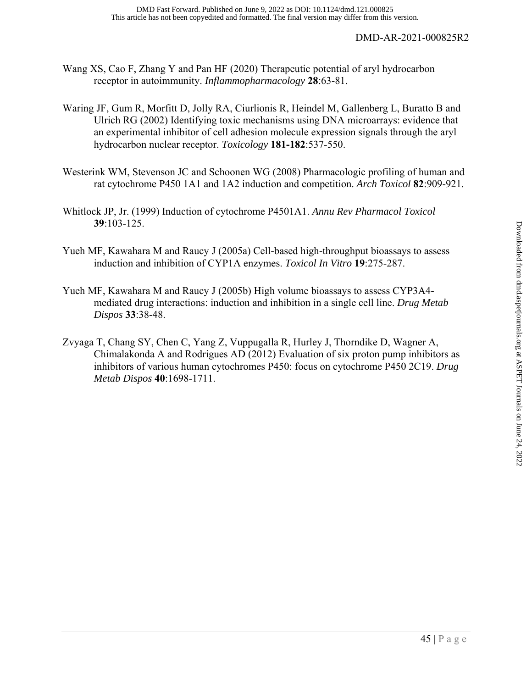- Wang XS, Cao F, Zhang Y and Pan HF (2020) Therapeutic potential of aryl hydrocarbon receptor in autoimmunity. *Inflammopharmacology* **28**:63-81.
- Waring JF, Gum R, Morfitt D, Jolly RA, Ciurlionis R, Heindel M, Gallenberg L, Buratto B and Ulrich RG (2002) Identifying toxic mechanisms using DNA microarrays: evidence that an experimental inhibitor of cell adhesion molecule expression signals through the aryl hydrocarbon nuclear receptor. *Toxicology* **181-182**:537-550.
- Westerink WM, Stevenson JC and Schoonen WG (2008) Pharmacologic profiling of human and rat cytochrome P450 1A1 and 1A2 induction and competition. *Arch Toxicol* **82**:909-921.
- Whitlock JP, Jr. (1999) Induction of cytochrome P4501A1. *Annu Rev Pharmacol Toxicol* **39**:103-125.
- Yueh MF, Kawahara M and Raucy J (2005a) Cell-based high-throughput bioassays to assess induction and inhibition of CYP1A enzymes. *Toxicol In Vitro* **19**:275-287.
- Yueh MF, Kawahara M and Raucy J (2005b) High volume bioassays to assess CYP3A4 mediated drug interactions: induction and inhibition in a single cell line. *Drug Metab Dispos* **33**:38-48.
- Zvyaga T, Chang SY, Chen C, Yang Z, Vuppugalla R, Hurley J, Thorndike D, Wagner A, Chimalakonda A and Rodrigues AD (2012) Evaluation of six proton pump inhibitors as inhibitors of various human cytochromes P450: focus on cytochrome P450 2C19. *Drug Metab Dispos* **40**:1698-1711.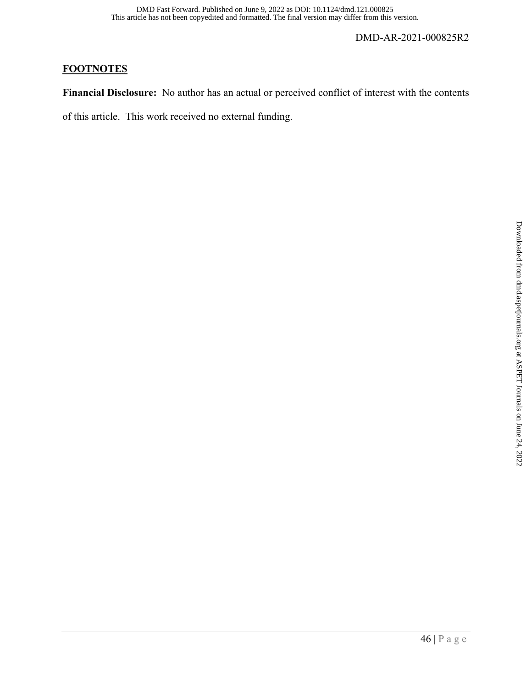## **FOOTNOTES**

**Financial Disclosure:** No author has an actual or perceived conflict of interest with the contents

of this article. This work received no external funding.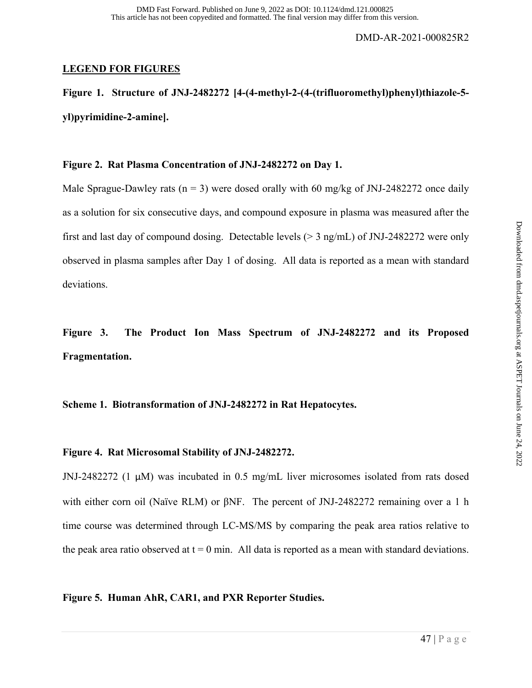## **LEGEND FOR FIGURES**

**Figure 1. Structure of JNJ-2482272 [4-(4-methyl-2-(4-(trifluoromethyl)phenyl)thiazole-5 yl)pyrimidine-2-amine].** 

## **Figure 2. Rat Plasma Concentration of JNJ-2482272 on Day 1.**

Male Sprague-Dawley rats ( $n = 3$ ) were dosed orally with 60 mg/kg of JNJ-2482272 once daily as a solution for six consecutive days, and compound exposure in plasma was measured after the first and last day of compound dosing. Detectable levels ( $>$  3 ng/mL) of JNJ-2482272 were only observed in plasma samples after Day 1 of dosing. All data is reported as a mean with standard deviations.

**Figure 3. The Product Ion Mass Spectrum of JNJ-2482272 and its Proposed Fragmentation.** 

## **Scheme 1. Biotransformation of JNJ-2482272 in Rat Hepatocytes.**

## **Figure 4. Rat Microsomal Stability of JNJ-2482272.**

JNJ-2482272 (1 μM) was incubated in 0.5 mg/mL liver microsomes isolated from rats dosed with either corn oil (Naïve RLM) or βNF. The percent of JNJ-2482272 remaining over a 1 h time course was determined through LC-MS/MS by comparing the peak area ratios relative to the peak area ratio observed at  $t = 0$  min. All data is reported as a mean with standard deviations.

## **Figure 5. Human AhR, CAR1, and PXR Reporter Studies.**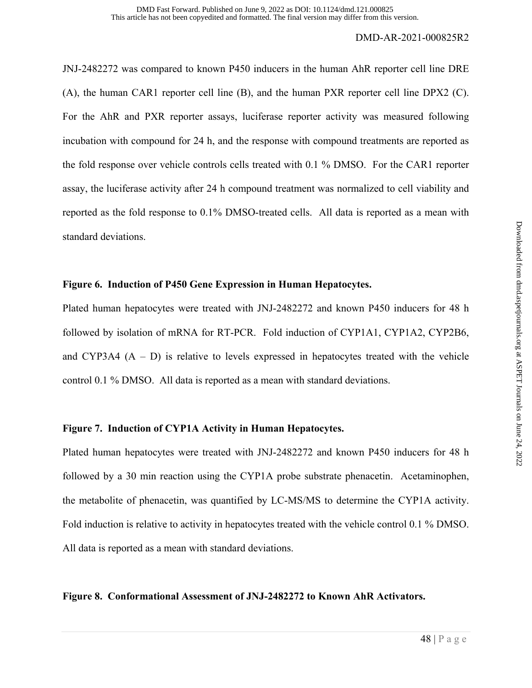JNJ-2482272 was compared to known P450 inducers in the human AhR reporter cell line DRE (A), the human CAR1 reporter cell line (B), and the human PXR reporter cell line DPX2 (C). For the AhR and PXR reporter assays, luciferase reporter activity was measured following incubation with compound for 24 h, and the response with compound treatments are reported as the fold response over vehicle controls cells treated with 0.1 % DMSO. For the CAR1 reporter assay, the luciferase activity after 24 h compound treatment was normalized to cell viability and reported as the fold response to 0.1% DMSO-treated cells. All data is reported as a mean with standard deviations.

## **Figure 6. Induction of P450 Gene Expression in Human Hepatocytes.**

Plated human hepatocytes were treated with JNJ-2482272 and known P450 inducers for 48 h followed by isolation of mRNA for RT-PCR. Fold induction of CYP1A1, CYP1A2, CYP2B6, and CYP3A4  $(A - D)$  is relative to levels expressed in hepatocytes treated with the vehicle control 0.1 % DMSO. All data is reported as a mean with standard deviations.

## **Figure 7. Induction of CYP1A Activity in Human Hepatocytes.**

Plated human hepatocytes were treated with JNJ-2482272 and known P450 inducers for 48 h followed by a 30 min reaction using the CYP1A probe substrate phenacetin. Acetaminophen, the metabolite of phenacetin, was quantified by LC-MS/MS to determine the CYP1A activity. Fold induction is relative to activity in hepatocytes treated with the vehicle control 0.1 % DMSO. All data is reported as a mean with standard deviations.

## **Figure 8. Conformational Assessment of JNJ-2482272 to Known AhR Activators.**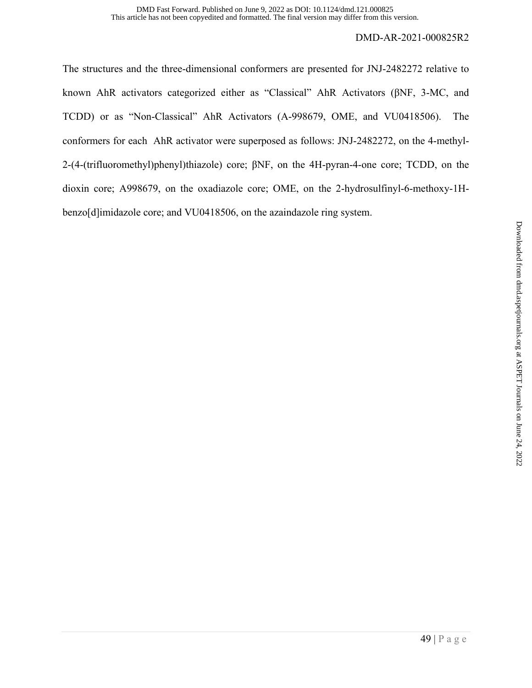The structures and the three-dimensional conformers are presented for JNJ-2482272 relative to known AhR activators categorized either as "Classical" AhR Activators (βNF, 3-MC, and TCDD) or as "Non-Classical" AhR Activators (A-998679, OME, and VU0418506). The conformers for each AhR activator were superposed as follows: JNJ-2482272, on the 4-methyl-2-(4-(trifluoromethyl)phenyl)thiazole) core; βNF, on the 4H-pyran-4-one core; TCDD, on the dioxin core; A998679, on the oxadiazole core; OME, on the 2-hydrosulfinyl-6-methoxy-1Hbenzo[d]imidazole core; and VU0418506, on the azaindazole ring system.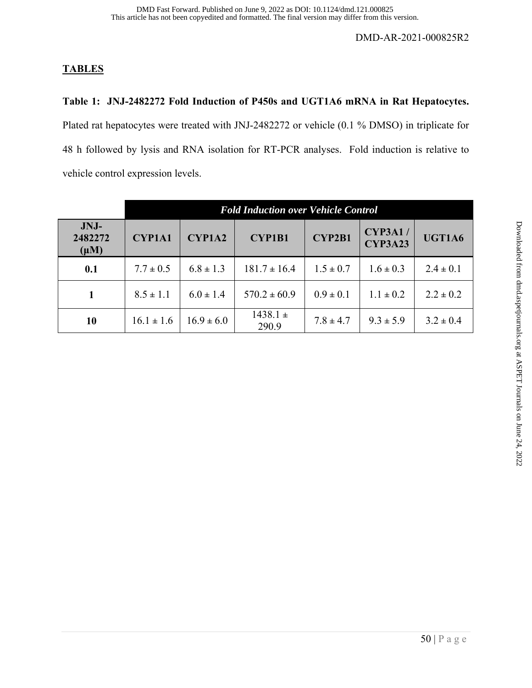## **TABLES**

## **Table 1: JNJ-2482272 Fold Induction of P450s and UGT1A6 mRNA in Rat Hepatocytes.**

Plated rat hepatocytes were treated with JNJ-2482272 or vehicle (0.1 % DMSO) in triplicate for 48 h followed by lysis and RNA isolation for RT-PCR analyses. Fold induction is relative to vehicle control expression levels.

|                              | <b>Fold Induction over Vehicle Control</b> |                |                       |               |                                  |               |  |
|------------------------------|--------------------------------------------|----------------|-----------------------|---------------|----------------------------------|---------------|--|
| JNJ-<br>2482272<br>$(\mu M)$ | <b>CYP1A1</b>                              | <b>CYP1A2</b>  | <b>CYP1B1</b>         | <b>CYP2B1</b> | <b>CYP3A1/</b><br><b>CYP3A23</b> | UGT1A6        |  |
| 0.1                          | $7.7 \pm 0.5$                              | $6.8 \pm 1.3$  | $181.7 \pm 16.4$      | $1.5 \pm 0.7$ | $1.6 \pm 0.3$                    | $2.4 \pm 0.1$ |  |
| 1                            | $8.5 \pm 1.1$                              | $6.0 \pm 1.4$  | $570.2 \pm 60.9$      | $0.9 \pm 0.1$ | $1.1 \pm 0.2$                    | $2.2 \pm 0.2$ |  |
| 10                           | $16.1 \pm 1.6$                             | $16.9 \pm 6.0$ | $1438.1 \pm$<br>290.9 | $7.8 \pm 4.7$ | $9.3 \pm 5.9$                    | $3.2 \pm 0.4$ |  |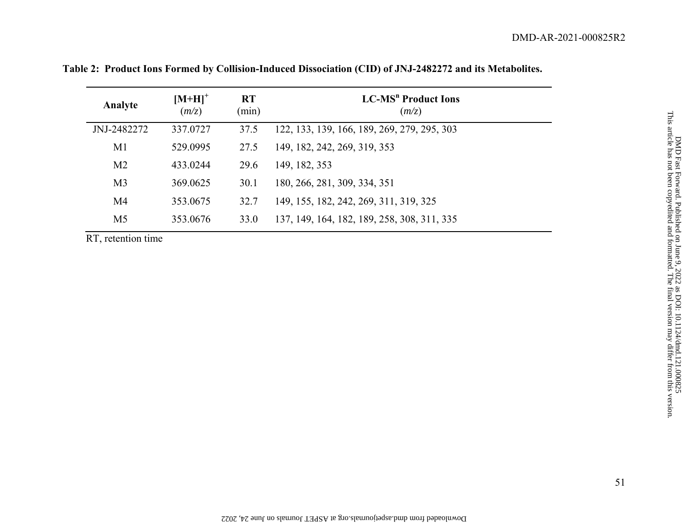| Analyte        | $[M+H]$ <sup>+</sup><br>(m/z) | <b>RT</b><br>(min) | <b>LC-MS<sup>n</sup></b> Product Ions<br>(m/z) |  |
|----------------|-------------------------------|--------------------|------------------------------------------------|--|
| JNJ-2482272    | 337.0727                      | 37.5               | 122, 133, 139, 166, 189, 269, 279, 295, 303    |  |
| M1             | 529.0995                      | 27.5               | 149, 182, 242, 269, 319, 353                   |  |
| M <sub>2</sub> | 433.0244                      | 29.6               | 149, 182, 353                                  |  |
| M <sub>3</sub> | 369.0625                      | 30.1               | 180, 266, 281, 309, 334, 351                   |  |
| M <sub>4</sub> | 353.0675                      | 32.7               | 149, 155, 182, 242, 269, 311, 319, 325         |  |
| M <sub>5</sub> | 353.0676                      | 33.0               | 137, 149, 164, 182, 189, 258, 308, 311, 335    |  |

**Table 2: Product Ions Formed by Collision-Induced Dissociation (CID) of JNJ-2482272 and its Metabolites.**

RT, retention time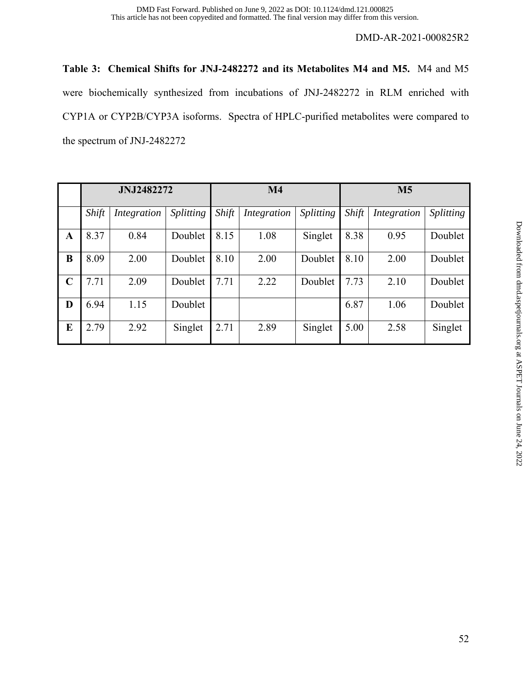**Table 3: Chemical Shifts for JNJ-2482272 and its Metabolites M4 and M5.** M4 and M5 were biochemically synthesized from incubations of JNJ-2482272 in RLM enriched with CYP1A or CYP2B/CYP3A isoforms. Spectra of HPLC-purified metabolites were compared to the spectrum of JNJ-2482272

|             | <b>JNJ2482272</b> |             |                  |       | M <sub>4</sub> |                  | <b>M5</b> |             |                  |  |
|-------------|-------------------|-------------|------------------|-------|----------------|------------------|-----------|-------------|------------------|--|
|             | Shift             | Integration | <i>Splitting</i> | Shift | Integration    | <i>Splitting</i> | Shift     | Integration | <i>Splitting</i> |  |
| A           | 8.37              | 0.84        | Doublet          | 8.15  | 1.08           | Singlet          | 8.38      | 0.95        | Doublet          |  |
| B           | 8.09              | 2.00        | Doublet          | 8.10  | 2.00           | Doublet          | 8.10      | 2.00        | Doublet          |  |
| $\mathbf C$ | 7.71              | 2.09        | Doublet          | 7.71  | 2.22           | Doublet          | 7.73      | 2.10        | Doublet          |  |
| D           | 6.94              | 1.15        | Doublet          |       |                |                  | 6.87      | 1.06        | Doublet          |  |
| E           | 2.79              | 2.92        | Singlet          | 2.71  | 2.89           | Singlet          | 5.00      | 2.58        | Singlet          |  |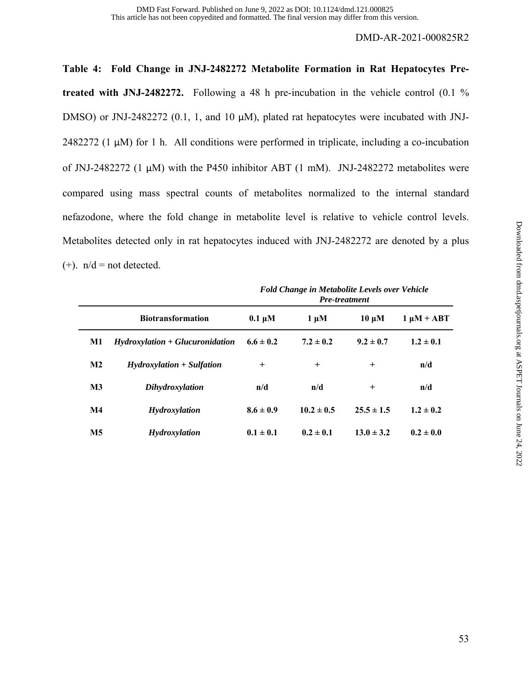**Table 4: Fold Change in JNJ-2482272 Metabolite Formation in Rat Hepatocytes Pretreated with JNJ-2482272.** Following a 48 h pre-incubation in the vehicle control (0.1 % DMSO) or JNJ-2482272 (0.1, 1, and 10 μM), plated rat hepatocytes were incubated with JNJ-2482272 (1 μM) for 1 h. All conditions were performed in triplicate, including a co-incubation of JNJ-2482272 (1 μM) with the P450 inhibitor ABT (1 mM). JNJ-2482272 metabolites were compared using mass spectral counts of metabolites normalized to the internal standard nefazodone, where the fold change in metabolite level is relative to vehicle control levels. Metabolites detected only in rat hepatocytes induced with JNJ-2482272 are denoted by a plus  $(+)$ .  $n/d = not detected$ .

|               |                                   | <b>Fold Change in Metabolite Levels over Vehicle</b><br><b>Pre-treatment</b> |                |                |                 |  |  |
|---------------|-----------------------------------|------------------------------------------------------------------------------|----------------|----------------|-----------------|--|--|
|               | <b>Biotransformation</b>          | $0.1 \mu M$                                                                  | $1 \mu M$      | $10 \mu M$     | $1 \mu M + ABT$ |  |  |
| M1            | $Hydroxylation + Glucuronidation$ | $6.6 \pm 0.2$                                                                | $7.2 \pm 0.2$  | $9.2 \pm 0.7$  | $1.2 \pm 0.1$   |  |  |
| $\mathbf{M2}$ | $Hydroxylation + Sulfation$       | $\ddot{}$                                                                    | $\,^+$         | $\,^+$         | n/d             |  |  |
| $\mathbf{M}3$ | <b>Dihydroxylation</b>            | n/d                                                                          | n/d            | $^{+}$         | n/d             |  |  |
| $\mathbf{M}4$ | Hydroxylation                     | $8.6 \pm 0.9$                                                                | $10.2 \pm 0.5$ | $25.5 \pm 1.5$ | $1.2 \pm 0.2$   |  |  |
| <b>M5</b>     | <b>Hydroxylation</b>              | $0.1 \pm 0.1$                                                                | $0.2 \pm 0.1$  | $13.0 \pm 3.2$ | $0.2 \pm 0.0$   |  |  |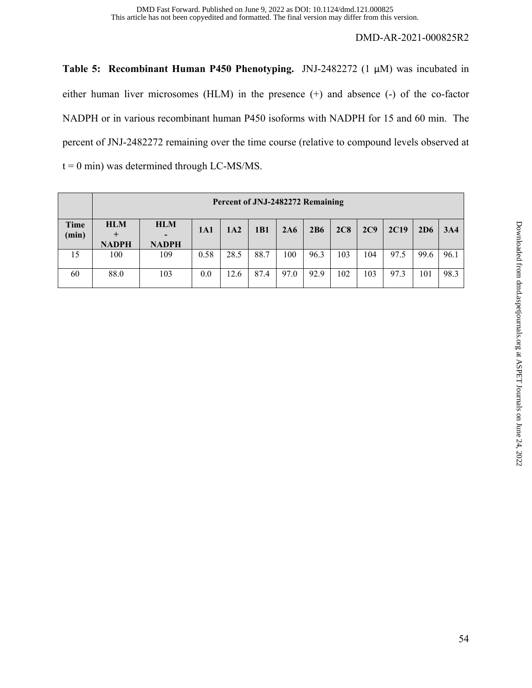**Table 5: Recombinant Human P450 Phenotyping.** JNJ-2482272 (1 μM) was incubated in either human liver microsomes (HLM) in the presence (+) and absence (-) of the co-factor NADPH or in various recombinant human P450 isoforms with NADPH for 15 and 60 min. The percent of JNJ-2482272 remaining over the time course (relative to compound levels observed at  $t = 0$  min) was determined through LC-MS/MS.

|               |                            | Percent of JNJ-2482272 Remaining |      |      |             |      |      |     |     |             |      |      |
|---------------|----------------------------|----------------------------------|------|------|-------------|------|------|-----|-----|-------------|------|------|
| Time<br>(min) | <b>HLM</b><br><b>NADPH</b> | <b>HLM</b><br><b>NADPH</b>       | 1A1  | 1A2  | 1 <b>B1</b> | 2A6  | 2B6  | 2C8 | 2C9 | <b>2C19</b> | 2D6  | 3A4  |
| 15            | 100                        | 109                              | 0.58 | 28.5 | 88.7        | 100  | 96.3 | 103 | 104 | 97.5        | 99.6 | 96.1 |
| 60            | 88.0                       | 103                              | 0.0  | 12.6 | 87.4        | 97.0 | 92.9 | 102 | 103 | 97.3        | 101  | 98.3 |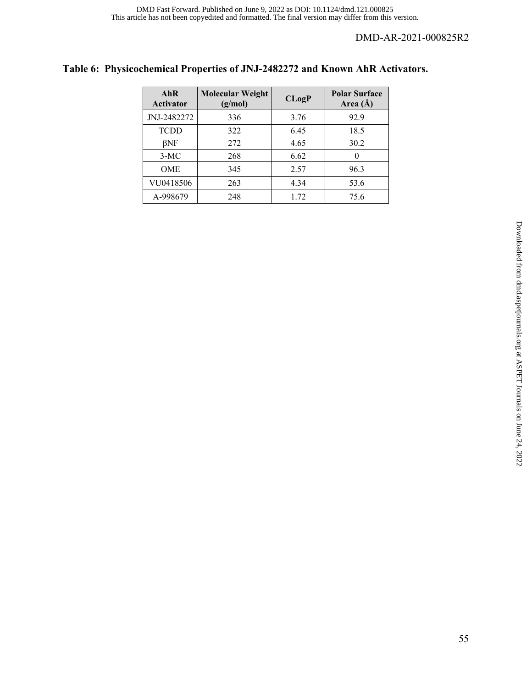## **Table 6: Physicochemical Properties of JNJ-2482272 and Known AhR Activators.**

| AhR<br><b>Activator</b> | <b>Molecular Weight</b><br>(g/mol) | CLogP | <b>Polar Surface</b><br>Area $(\AA)$ |
|-------------------------|------------------------------------|-------|--------------------------------------|
| JNJ-2482272             | 336                                | 3.76  | 92.9                                 |
| <b>TCDD</b>             | 322                                | 6.45  | 18.5                                 |
| $\beta$ NF              | 272                                | 4.65  | 30.2                                 |
| $3-MC$                  | 268                                | 6.62  | $\left( \right)$                     |
| <b>OME</b>              | 345                                | 2.57  | 96.3                                 |
| VU0418506               | 263                                | 4.34  | 53.6                                 |
| A-998679                | 248                                | 1.72  | 75.6                                 |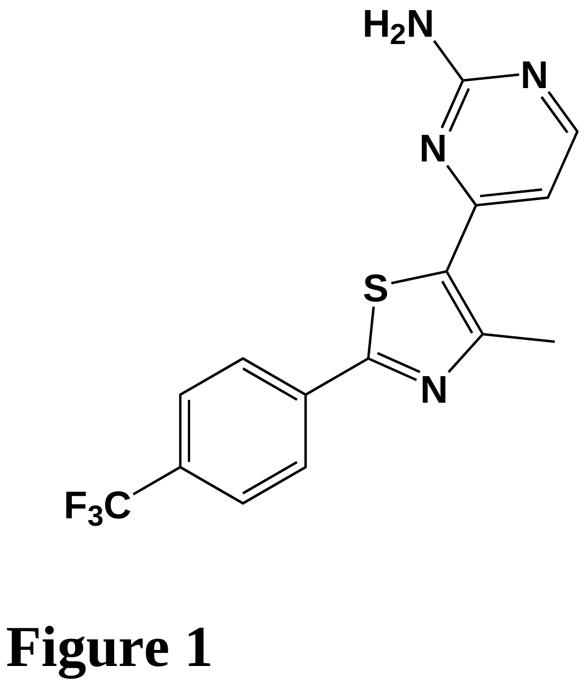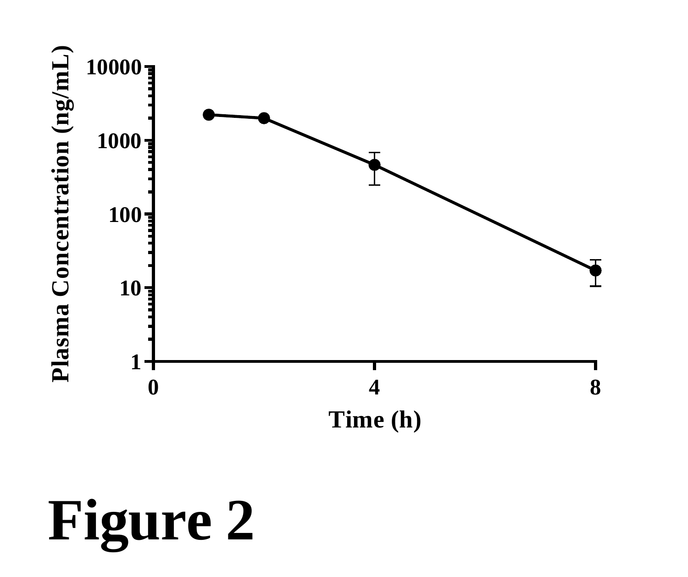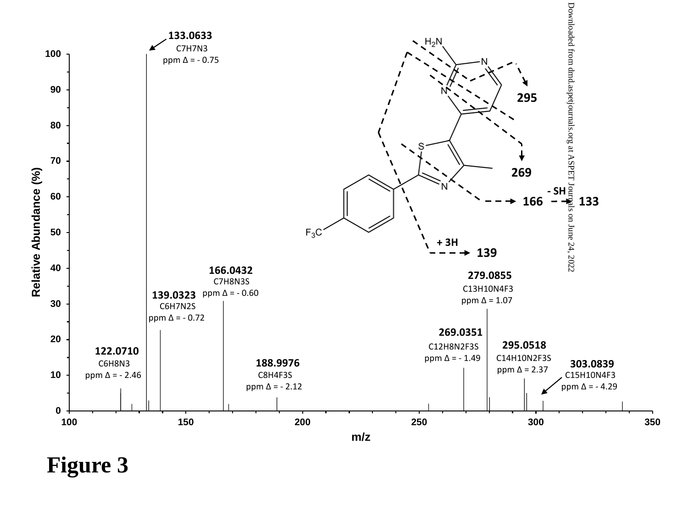

**Figure 3**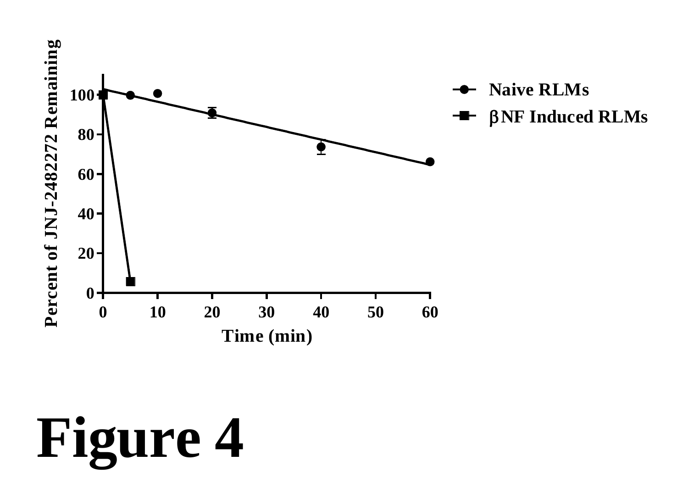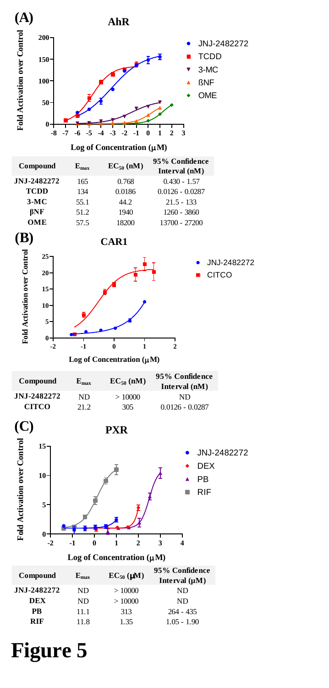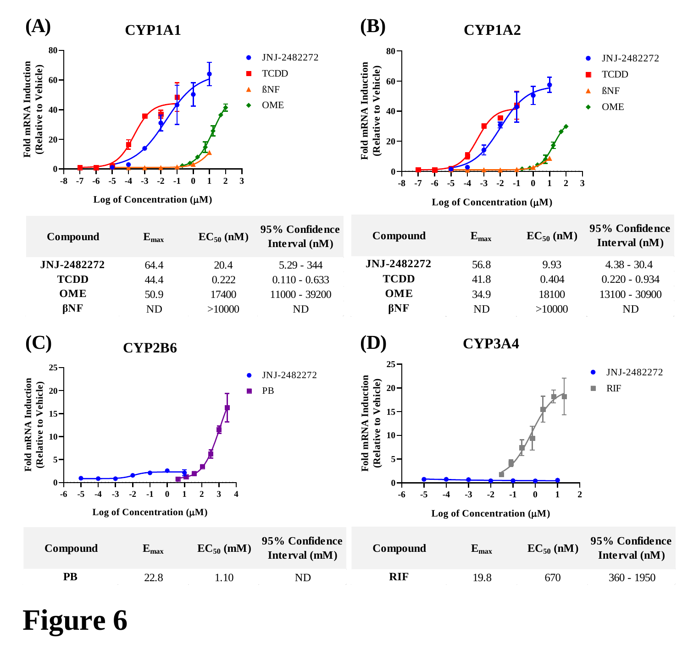



| Compound                                                                                                                               | $E_{max}$                                                        | $EC_{50}$ (nM) | 95% Confidence<br>Interval (nM) | Compound                                                                                                                              | $E_{max}$                                                   | $EC_{50}$ (nM)                             | 95% Confidence<br>Interval (nM)             |
|----------------------------------------------------------------------------------------------------------------------------------------|------------------------------------------------------------------|----------------|---------------------------------|---------------------------------------------------------------------------------------------------------------------------------------|-------------------------------------------------------------|--------------------------------------------|---------------------------------------------|
| JNJ-2482272                                                                                                                            | 64.4                                                             | 20.4           | $5.29 - 344$                    | JNJ-2482272                                                                                                                           | 56.8                                                        | 9.93                                       | $4.38 - 30.4$                               |
| <b>TCDD</b>                                                                                                                            | 44.4                                                             | 0.222          | $0.110 - 0.633$                 | <b>TCDD</b>                                                                                                                           | 41.8                                                        | 0.404                                      | $0.220 - 0.934$                             |
| OME                                                                                                                                    | 50.9                                                             | 17400          | 11000 - 39200                   | OME                                                                                                                                   | 34.9                                                        | 18100                                      | 13100 - 30900                               |
| $\beta$ NF                                                                                                                             | <b>ND</b>                                                        | >10000         | <b>ND</b>                       | $\beta$ NF                                                                                                                            | $\rm ND$                                                    | >10000                                     | $\rm ND$                                    |
| <b>(C)</b><br>$25 -$<br>Fold mRNA Induction<br>(Relative to Vehicle)<br>$20 -$<br>$15 -$<br>$10 -$<br>$5-$<br>$\mathbf{0}$<br>-5<br>-6 | CYP2B6<br>$\cdot$ <sub>2</sub><br>Log of Concentration $(\mu M)$ | $\bullet$<br>п | JNJ-2482272<br>PB               | (D)<br>$25 -$<br>Fold mRNA Induction<br>(Relative to Vehicle)<br>$20 -$<br>$15 -$<br>$10 -$<br>$5-$<br>$\mathbf{0}$<br>-6<br>-5<br>-4 | <b>CYP3A4</b><br>-3<br>-2<br>Log of Concentration $(\mu M)$ | $\overline{2}$<br>$-1$<br>$\boldsymbol{0}$ | JNJ-2482272<br><b>RIF</b><br>$\blacksquare$ |
| Compound                                                                                                                               | $E_{max}$                                                        | $EC_{50}$ (mM) | 95% Confidence<br>Interval (mM) | Compound                                                                                                                              | $\mathbf{E}_{\text{max}}$                                   | $EC_{50}$ (nM)                             | 95% Confidence<br>Interval (nM)             |
| $\mathbf{PB}$                                                                                                                          | 22.8                                                             | 1.10           | ND                              | <b>RIF</b>                                                                                                                            | 19.8                                                        | 670                                        | $360 - 1950$                                |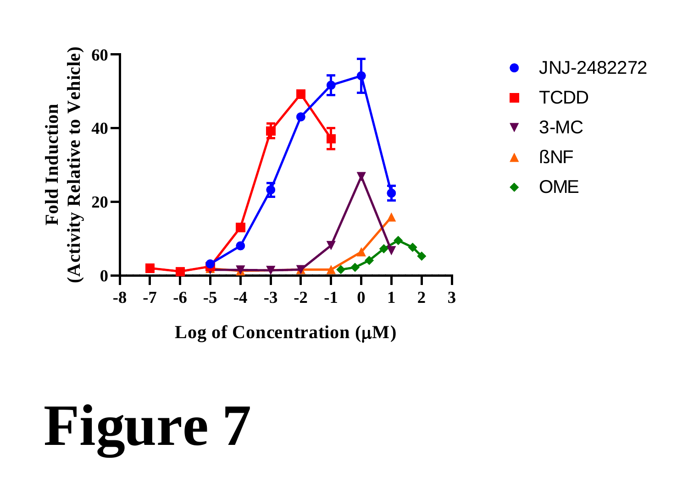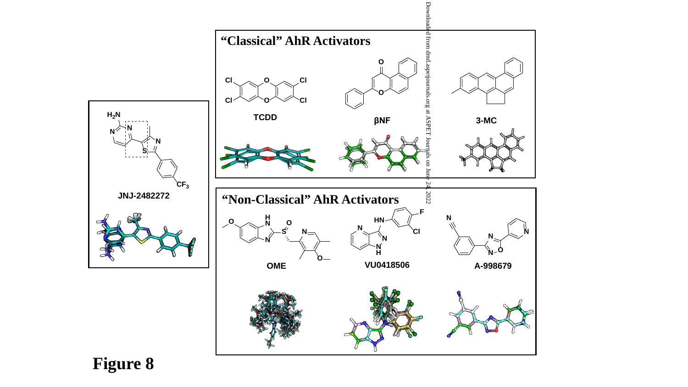